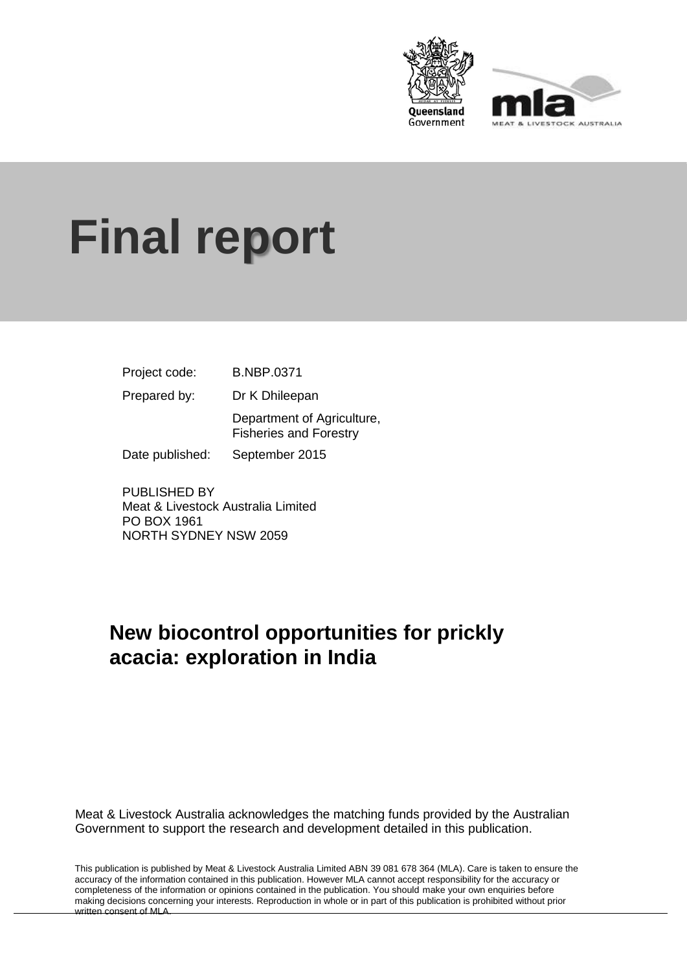



# **Final report**

| Project code:   | <b>B.NBP.0371</b>                                           |
|-----------------|-------------------------------------------------------------|
| Prepared by:    | Dr K Dhileepan                                              |
|                 | Department of Agriculture,<br><b>Fisheries and Forestry</b> |
| Date published: | September 2015                                              |

PUBLISHED BY Meat & Livestock Australia Limited PO BOX 1961 NORTH SYDNEY NSW 2059

# **New biocontrol opportunities for prickly acacia: exploration in India**

Meat & Livestock Australia acknowledges the matching funds provided by the Australian Government to support the research and development detailed in this publication.

This publication is published by Meat & Livestock Australia Limited ABN 39 081 678 364 (MLA). Care is taken to ensure the accuracy of the information contained in this publication. However MLA cannot accept responsibility for the accuracy or completeness of the information or opinions contained in the publication. You should make your own enquiries before making decisions concerning your interests. Reproduction in whole or in part of this publication is prohibited without prior written consent of MLA.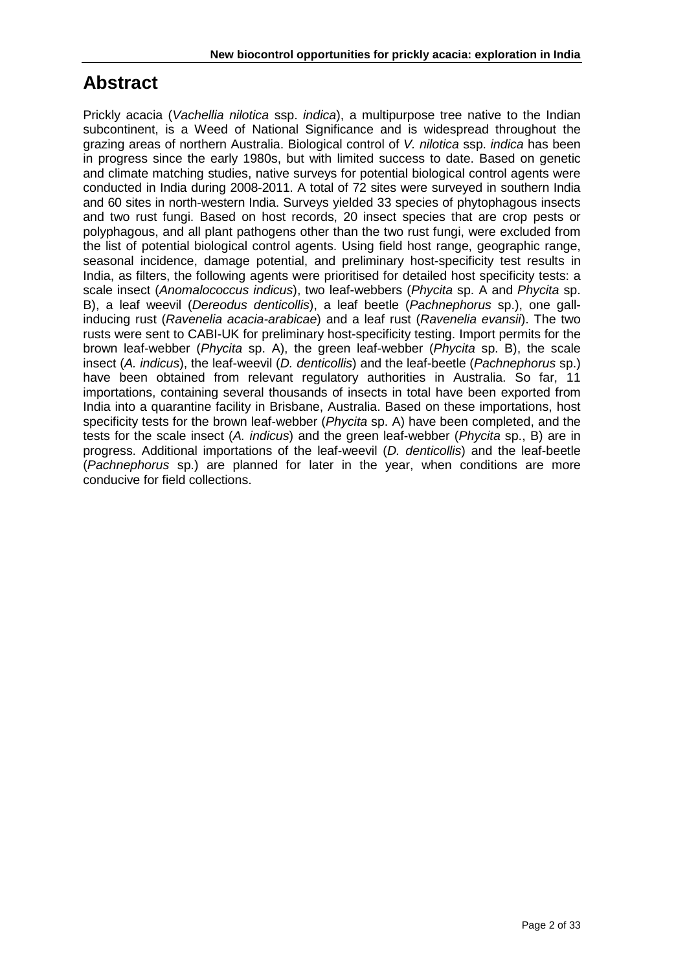# **Abstract**

Prickly acacia (*Vachellia nilotica* ssp. *indica*), a multipurpose tree native to the Indian subcontinent, is a Weed of National Significance and is widespread throughout the grazing areas of northern Australia. Biological control of *V. nilotica* ssp. *indica* has been in progress since the early 1980s, but with limited success to date. Based on genetic and climate matching studies, native surveys for potential biological control agents were conducted in India during 2008-2011. A total of 72 sites were surveyed in southern India and 60 sites in north-western India. Surveys yielded 33 species of phytophagous insects and two rust fungi. Based on host records, 20 insect species that are crop pests or polyphagous, and all plant pathogens other than the two rust fungi, were excluded from the list of potential biological control agents. Using field host range, geographic range, seasonal incidence, damage potential, and preliminary host-specificity test results in India, as filters, the following agents were prioritised for detailed host specificity tests: a scale insect (*Anomalococcus indicus*), two leaf-webbers (*Phycita* sp. A and *Phycita* sp. B), a leaf weevil (*Dereodus denticollis*), a leaf beetle (*Pachnephorus* sp.), one gallinducing rust (*Ravenelia acacia-arabicae*) and a leaf rust (*Ravenelia evansii*). The two rusts were sent to CABI-UK for preliminary host-specificity testing. Import permits for the brown leaf-webber (*Phycita* sp. A), the green leaf-webber (*Phycita* sp. B), the scale insect (*A. indicus*), the leaf-weevil (*D. denticollis*) and the leaf-beetle (*Pachnephorus* sp.) have been obtained from relevant regulatory authorities in Australia. So far, 11 importations, containing several thousands of insects in total have been exported from India into a quarantine facility in Brisbane, Australia. Based on these importations, host specificity tests for the brown leaf-webber (*Phycita* sp. A) have been completed, and the tests for the scale insect (*A. indicus*) and the green leaf-webber (*Phycita* sp., B) are in progress. Additional importations of the leaf-weevil (*D. denticollis*) and the leaf-beetle (*Pachnephorus* sp.) are planned for later in the year, when conditions are more conducive for field collections.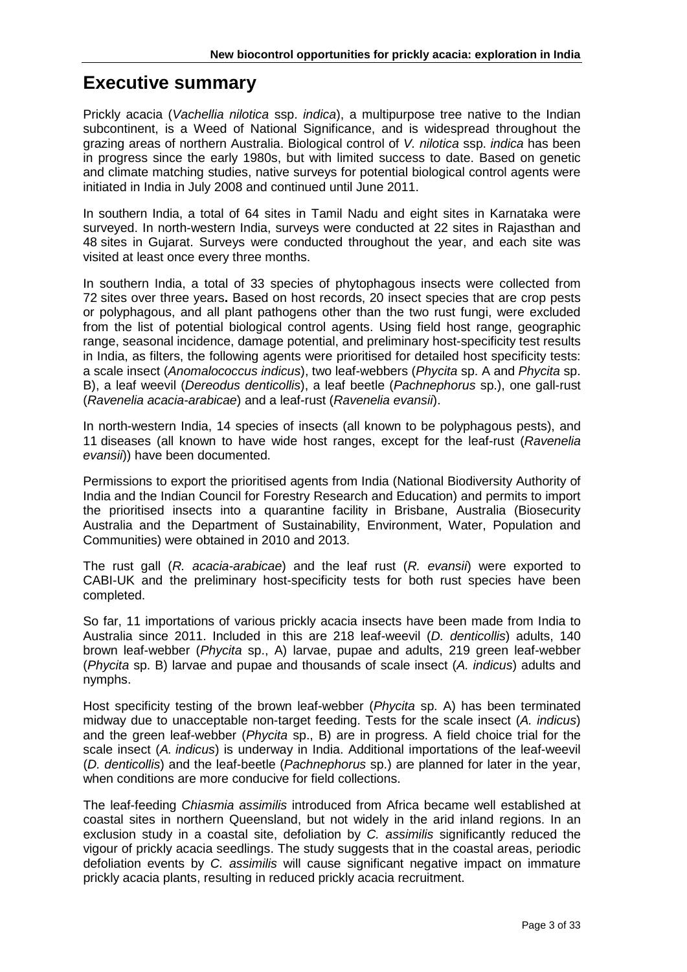# **Executive summary**

Prickly acacia (*Vachellia nilotica* ssp. *indica*), a multipurpose tree native to the Indian subcontinent, is a Weed of National Significance, and is widespread throughout the grazing areas of northern Australia. Biological control of *V. nilotica* ssp. *indica* has been in progress since the early 1980s, but with limited success to date. Based on genetic and climate matching studies, native surveys for potential biological control agents were initiated in India in July 2008 and continued until June 2011.

In southern India, a total of 64 sites in Tamil Nadu and eight sites in Karnataka were surveyed. In north-western India, surveys were conducted at 22 sites in Rajasthan and 48 sites in Gujarat. Surveys were conducted throughout the year, and each site was visited at least once every three months.

In southern India, a total of 33 species of phytophagous insects were collected from 72 sites over three years**.** Based on host records, 20 insect species that are crop pests or polyphagous, and all plant pathogens other than the two rust fungi, were excluded from the list of potential biological control agents. Using field host range, geographic range, seasonal incidence, damage potential, and preliminary host-specificity test results in India, as filters, the following agents were prioritised for detailed host specificity tests: a scale insect (*Anomalococcus indicus*), two leaf-webbers (*Phycita* sp. A and *Phycita* sp. B), a leaf weevil (*Dereodus denticollis*), a leaf beetle (*Pachnephorus* sp.), one gall-rust (*Ravenelia acacia-arabicae*) and a leaf-rust (*Ravenelia evansii*).

In north-western India, 14 species of insects (all known to be polyphagous pests), and 11 diseases (all known to have wide host ranges, except for the leaf-rust (*Ravenelia evansii*)) have been documented.

Permissions to export the prioritised agents from India (National Biodiversity Authority of India and the Indian Council for Forestry Research and Education) and permits to import the prioritised insects into a quarantine facility in Brisbane, Australia (Biosecurity Australia and the Department of Sustainability, Environment, Water, Population and Communities) were obtained in 2010 and 2013.

The rust gall (*R. acacia-arabicae*) and the leaf rust (*R. evansii*) were exported to CABI-UK and the preliminary host-specificity tests for both rust species have been completed.

So far, 11 importations of various prickly acacia insects have been made from India to Australia since 2011. Included in this are 218 leaf-weevil (*D. denticollis*) adults, 140 brown leaf-webber (*Phycita* sp., A) larvae, pupae and adults, 219 green leaf-webber (*Phycita* sp. B) larvae and pupae and thousands of scale insect (*A. indicus*) adults and nymphs.

Host specificity testing of the brown leaf-webber (*Phycita* sp. A) has been terminated midway due to unacceptable non-target feeding. Tests for the scale insect (*A. indicus*) and the green leaf-webber (*Phycita* sp., B) are in progress. A field choice trial for the scale insect (*A. indicus*) is underway in India. Additional importations of the leaf-weevil (*D. denticollis*) and the leaf-beetle (*Pachnephorus* sp.) are planned for later in the year, when conditions are more conducive for field collections.

The leaf-feeding *Chiasmia assimilis* introduced from Africa became well established at coastal sites in northern Queensland, but not widely in the arid inland regions. In an exclusion study in a coastal site, defoliation by *C. assimilis* significantly reduced the vigour of prickly acacia seedlings. The study suggests that in the coastal areas, periodic defoliation events by *C. assimilis* will cause significant negative impact on immature prickly acacia plants, resulting in reduced prickly acacia recruitment.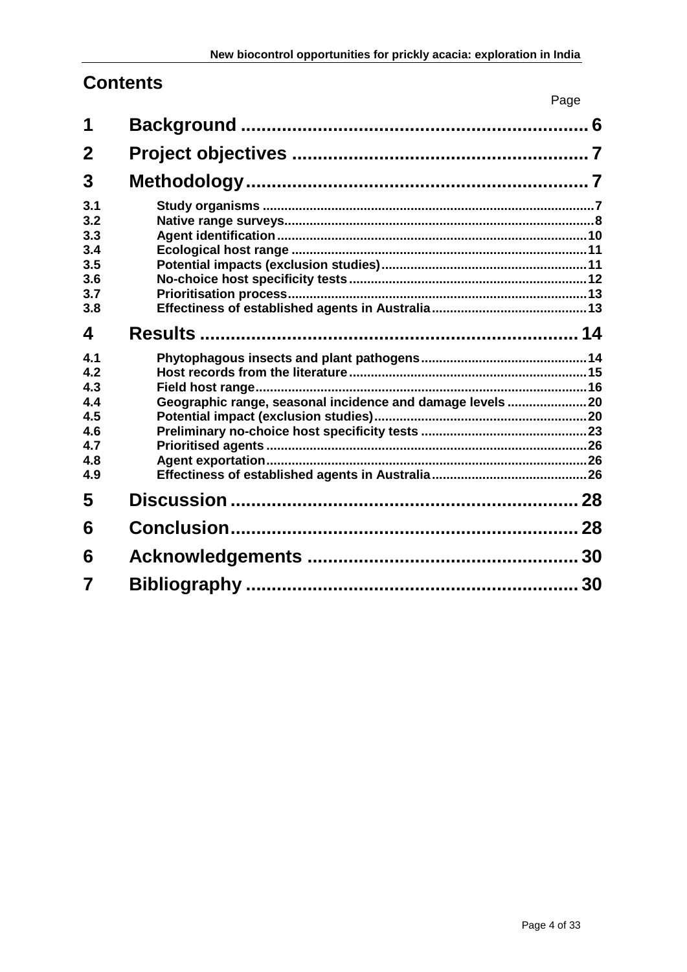# **Contents**

|                                                             |                                                           | Page |
|-------------------------------------------------------------|-----------------------------------------------------------|------|
| 1                                                           |                                                           |      |
| $\mathbf 2$                                                 |                                                           |      |
| 3                                                           |                                                           |      |
| 3.1<br>3.2<br>3.3<br>3.4<br>3.5<br>3.6<br>3.7<br>3.8        |                                                           |      |
| 4                                                           |                                                           |      |
| 4.1<br>4.2<br>4.3<br>4.4<br>4.5<br>4.6<br>4.7<br>4.8<br>4.9 | Geographic range, seasonal incidence and damage levels 20 |      |
| 5                                                           |                                                           |      |
| 6                                                           |                                                           |      |
| 6                                                           |                                                           |      |
|                                                             |                                                           |      |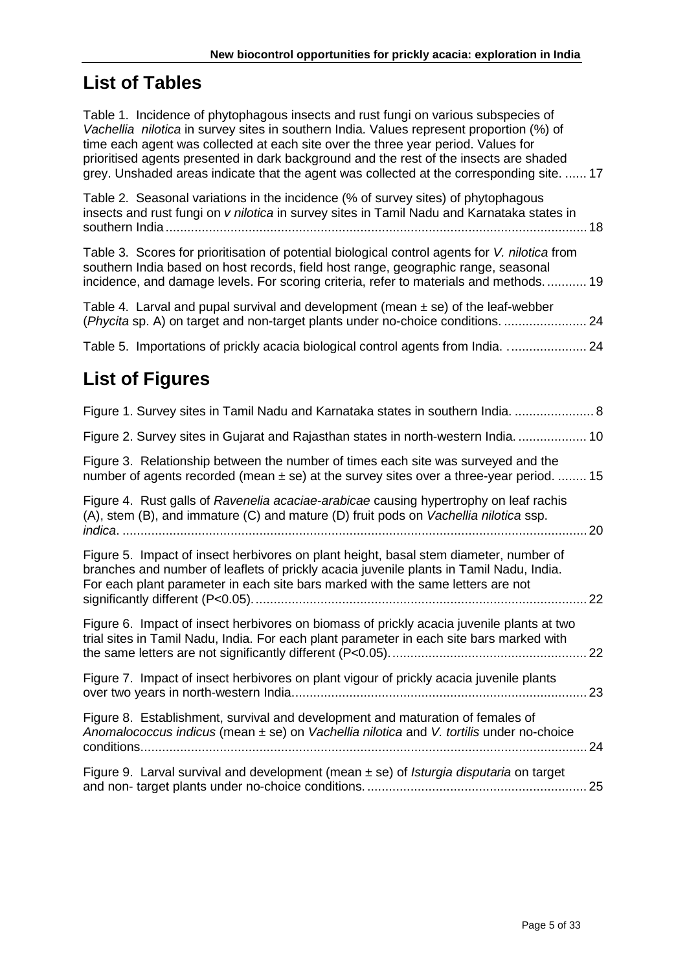# **List of Tables**

| Table 1. Incidence of phytophagous insects and rust fungi on various subspecies of<br>Vachellia nilotica in survey sites in southern India. Values represent proportion (%) of<br>time each agent was collected at each site over the three year period. Values for<br>prioritised agents presented in dark background and the rest of the insects are shaded<br>grey. Unshaded areas indicate that the agent was collected at the corresponding site.  17 |
|------------------------------------------------------------------------------------------------------------------------------------------------------------------------------------------------------------------------------------------------------------------------------------------------------------------------------------------------------------------------------------------------------------------------------------------------------------|
| Table 2. Seasonal variations in the incidence (% of survey sites) of phytophagous<br>insects and rust fungi on v nilotica in survey sites in Tamil Nadu and Karnataka states in                                                                                                                                                                                                                                                                            |
| Table 3. Scores for prioritisation of potential biological control agents for V. nilotica from<br>southern India based on host records, field host range, geographic range, seasonal<br>incidence, and damage levels. For scoring criteria, refer to materials and methods 19                                                                                                                                                                              |
| Table 4. Larval and pupal survival and development (mean $\pm$ se) of the leaf-webber<br>(Phycita sp. A) on target and non-target plants under no-choice conditions.<br>24                                                                                                                                                                                                                                                                                 |
| Table 5. Importations of prickly acacia biological control agents from India.  24                                                                                                                                                                                                                                                                                                                                                                          |
| <b>List of Figures</b>                                                                                                                                                                                                                                                                                                                                                                                                                                     |
| Figure 1. Survey sites in Tamil Nadu and Karnataka states in southern India.  8                                                                                                                                                                                                                                                                                                                                                                            |
| Figure 2. Survey sites in Gujarat and Rajasthan states in north-western India.  10                                                                                                                                                                                                                                                                                                                                                                         |
| Figure 3. Relationship between the number of times each site was surveyed and the<br>number of agents recorded (mean $\pm$ se) at the survey sites over a three-year period.  15                                                                                                                                                                                                                                                                           |
| Figure 4. Rust galls of Ravenelia acaciae-arabicae causing hypertrophy on leaf rachis<br>(A), stem (B), and immature (C) and mature (D) fruit pods on Vachellia nilotica ssp.<br>20                                                                                                                                                                                                                                                                        |
| Figure 5. Impact of insect herbivores on plant height, basal stem diameter, number of<br>branches and number of leaflets of prickly acacia juvenile plants in Tamil Nadu, India.<br>For each plant parameter in each site bars marked with the same letters are not<br>22                                                                                                                                                                                  |
| Figure 6. Impact of insect herbivores on biomass of prickly acacia juvenile plants at two<br>trial sites in Tamil Nadu, India. For each plant parameter in each site bars marked with                                                                                                                                                                                                                                                                      |
| Figure 7. Impact of insect herbivores on plant vigour of prickly acacia juvenile plants<br>23                                                                                                                                                                                                                                                                                                                                                              |
| Figure 8. Establishment, survival and development and maturation of females of<br>Anomalococcus indicus (mean ± se) on Vachellia nilotica and V. tortilis under no-choice<br>24                                                                                                                                                                                                                                                                            |
| Figure 9. Larval survival and development (mean $\pm$ se) of <i>Isturgia disputaria</i> on target                                                                                                                                                                                                                                                                                                                                                          |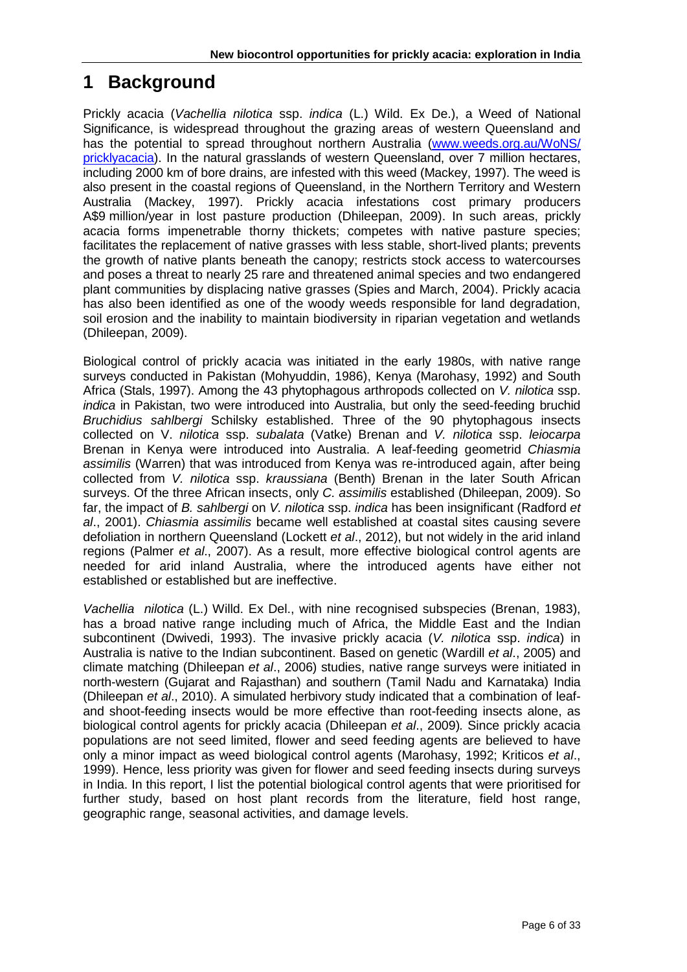# <span id="page-5-0"></span>**1 Background**

Prickly acacia (*Vachellia nilotica* ssp. *indica* (L.) Wild. Ex De.), a Weed of National Significance, is widespread throughout the grazing areas of western Queensland and has the potential to spread throughout northern Australia (www.weeds.org.au/WoNS/ [pricklyacacia\)](http://www.weeds.org.au/WoNS/%20pricklyacacia). In the natural grasslands of western Queensland, over 7 million hectares, including 2000 km of bore drains, are infested with this weed (Mackey, 1997). The weed is also present in the coastal regions of Queensland, in the Northern Territory and Western Australia (Mackey, 1997). Prickly acacia infestations cost primary producers A\$9 million/year in lost pasture production (Dhileepan, 2009). In such areas, prickly acacia forms impenetrable thorny thickets; competes with native pasture species; facilitates the replacement of native grasses with less stable, short-lived plants; prevents the growth of native plants beneath the canopy; restricts stock access to watercourses and poses a threat to nearly 25 rare and threatened animal species and two endangered plant communities by displacing native grasses (Spies and March, 2004). Prickly acacia has also been identified as one of the woody weeds responsible for land degradation, soil erosion and the inability to maintain biodiversity in riparian vegetation and wetlands (Dhileepan, 2009).

Biological control of prickly acacia was initiated in the early 1980s, with native range surveys conducted in Pakistan (Mohyuddin, 1986), Kenya (Marohasy, 1992) and South Africa (Stals, 1997). Among the 43 phytophagous arthropods collected on *V. nilotica* ssp. *indica* in Pakistan, two were introduced into Australia, but only the seed-feeding bruchid *Bruchidius sahlbergi* Schilsky established. Three of the 90 phytophagous insects collected on V. *nilotica* ssp. *subalata* (Vatke) Brenan and *V. nilotica* ssp. *leiocarpa* Brenan in Kenya were introduced into Australia. A leaf-feeding geometrid *Chiasmia assimilis* (Warren) that was introduced from Kenya was re-introduced again, after being collected from *V. nilotica* ssp. *kraussiana* (Benth) Brenan in the later South African surveys. Of the three African insects, only *C. assimilis* established (Dhileepan, 2009). So far, the impact of *B. sahlbergi* on *V. nilotica* ssp. *indica* has been insignificant (Radford *et al*., 2001). *Chiasmia assimilis* became well established at coastal sites causing severe defoliation in northern Queensland (Lockett *et al*., 2012), but not widely in the arid inland regions (Palmer *et al*., 2007). As a result, more effective biological control agents are needed for arid inland Australia, where the introduced agents have either not established or established but are ineffective.

*Vachellia nilotica* (L.) Willd. Ex Del., with nine recognised subspecies (Brenan, 1983), has a broad native range including much of Africa, the Middle East and the Indian subcontinent (Dwivedi, 1993). The invasive prickly acacia (*V. nilotica* ssp. *indica*) in Australia is native to the Indian subcontinent. Based on genetic (Wardill *et al*., 2005) and climate matching (Dhileepan *et al*., 2006) studies, native range surveys were initiated in north-western (Gujarat and Rajasthan) and southern (Tamil Nadu and Karnataka) India (Dhileepan *et al*., 2010). A simulated herbivory study indicated that a combination of leafand shoot-feeding insects would be more effective than root-feeding insects alone, as biological control agents for prickly acacia (Dhileepan *et al*., 2009)*.* Since prickly acacia populations are not seed limited, flower and seed feeding agents are believed to have only a minor impact as weed biological control agents (Marohasy, 1992; Kriticos *et al*., 1999). Hence, less priority was given for flower and seed feeding insects during surveys in India. In this report, I list the potential biological control agents that were prioritised for further study, based on host plant records from the literature, field host range, geographic range, seasonal activities, and damage levels.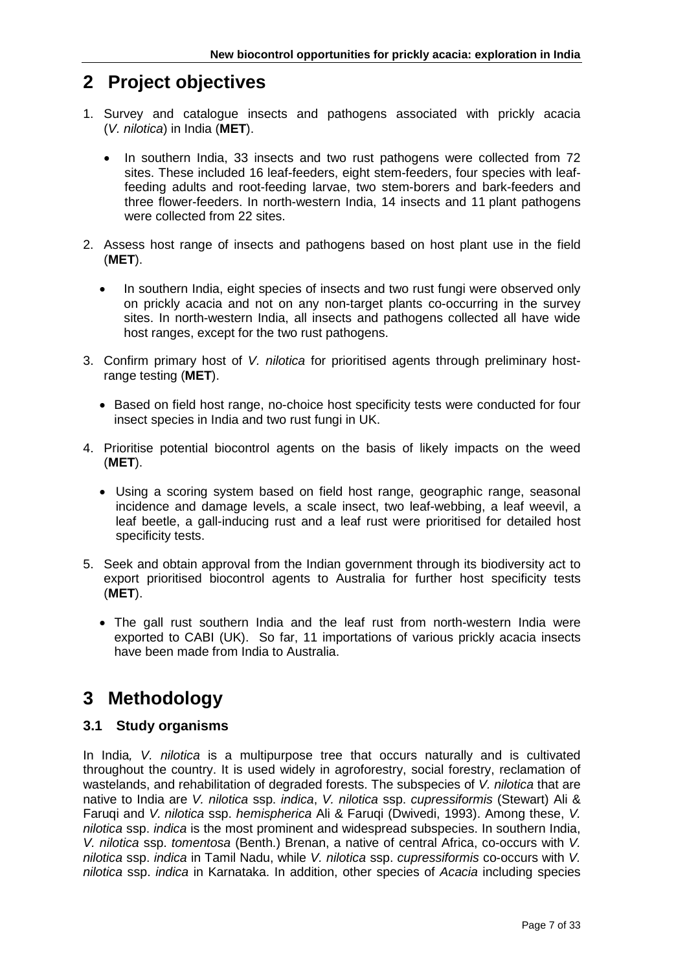# <span id="page-6-0"></span>**2 Project objectives**

- 1. Survey and catalogue insects and pathogens associated with prickly acacia (*V. nilotica*) in India (**MET**).
	- In southern India, 33 insects and two rust pathogens were collected from 72 sites. These included 16 leaf-feeders, eight stem-feeders, four species with leaffeeding adults and root-feeding larvae, two stem-borers and bark-feeders and three flower-feeders. In north-western India, 14 insects and 11 plant pathogens were collected from 22 sites.
- 2. Assess host range of insects and pathogens based on host plant use in the field (**MET**).
	- In southern India, eight species of insects and two rust fungi were observed only on prickly acacia and not on any non-target plants co-occurring in the survey sites. In north-western India, all insects and pathogens collected all have wide host ranges, except for the two rust pathogens.
- 3. Confirm primary host of *V. nilotica* for prioritised agents through preliminary hostrange testing (**MET**).
	- Based on field host range, no-choice host specificity tests were conducted for four insect species in India and two rust fungi in UK.
- 4. Prioritise potential biocontrol agents on the basis of likely impacts on the weed (**MET**).
	- Using a scoring system based on field host range, geographic range, seasonal incidence and damage levels, a scale insect, two leaf-webbing, a leaf weevil, a leaf beetle, a gall-inducing rust and a leaf rust were prioritised for detailed host specificity tests.
- 5. Seek and obtain approval from the Indian government through its biodiversity act to export prioritised biocontrol agents to Australia for further host specificity tests (**MET**).
	- The gall rust southern India and the leaf rust from north-western India were exported to CABI (UK). So far, 11 importations of various prickly acacia insects have been made from India to Australia.

# <span id="page-6-1"></span>**3 Methodology**

## <span id="page-6-2"></span>**3.1 Study organisms**

In India*, V. nilotica* is a multipurpose tree that occurs naturally and is cultivated throughout the country. It is used widely in agroforestry, social forestry, reclamation of wastelands, and rehabilitation of degraded forests. The subspecies of *V. nilotica* that are native to India are *V. nilotica* ssp. *indica*, *V. nilotica* ssp. *cupressiformis* (Stewart) Ali & Faruqi and *V. nilotica* ssp. *hemispherica* Ali & Faruqi (Dwivedi, 1993). Among these, *V. nilotica* ssp. *indica* is the most prominent and widespread subspecies. In southern India, *V. nilotica* ssp. *tomentosa* (Benth.) Brenan, a native of central Africa, co-occurs with *V. nilotica* ssp. *indica* in Tamil Nadu, while *V. nilotica* ssp. *cupressiformis* co-occurs with *V. nilotica* ssp. *indica* in Karnataka. In addition, other species of *Acacia* including species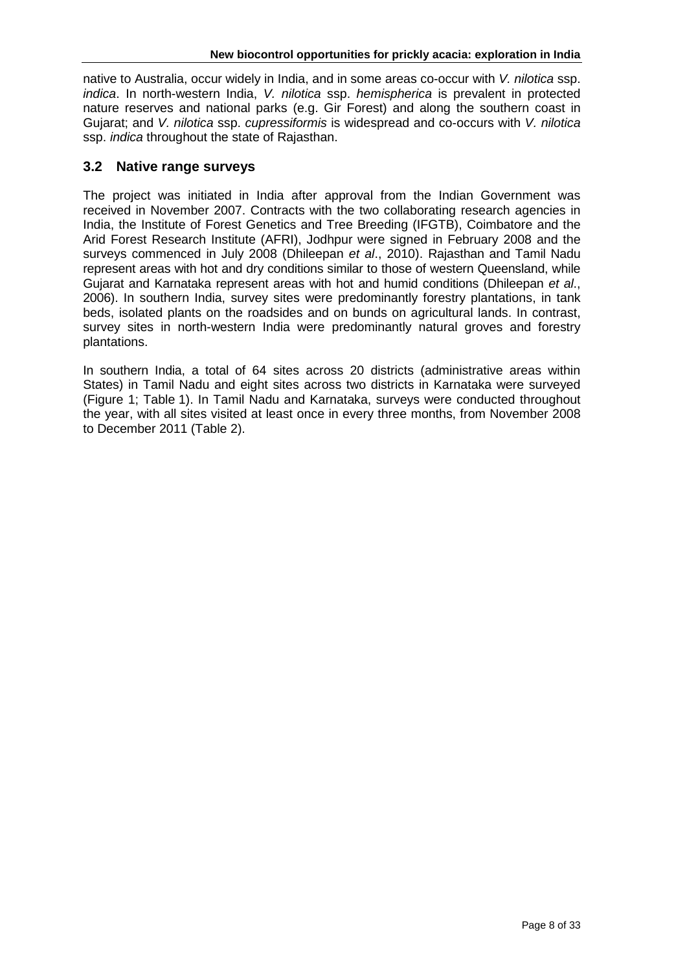native to Australia, occur widely in India, and in some areas co-occur with *V. nilotica* ssp. *indica*. In north-western India, *V. nilotica* ssp. *hemispherica* is prevalent in protected nature reserves and national parks (e.g. Gir Forest) and along the southern coast in Gujarat; and *V. nilotica* ssp. *cupressiformis* is widespread and co-occurs with *V. nilotica* ssp. *indica* throughout the state of Rajasthan.

## <span id="page-7-0"></span>**3.2 Native range surveys**

The project was initiated in India after approval from the Indian Government was received in November 2007. Contracts with the two collaborating research agencies in India, the Institute of Forest Genetics and Tree Breeding (IFGTB), Coimbatore and the Arid Forest Research Institute (AFRI), Jodhpur were signed in February 2008 and the surveys commenced in July 2008 (Dhileepan *et al*., 2010). Rajasthan and Tamil Nadu represent areas with hot and dry conditions similar to those of western Queensland, while Gujarat and Karnataka represent areas with hot and humid conditions (Dhileepan *et al*., 2006). In southern India, survey sites were predominantly forestry plantations, in tank beds, isolated plants on the roadsides and on bunds on agricultural lands. In contrast, survey sites in north-western India were predominantly natural groves and forestry plantations.

In southern India, a total of 64 sites across 20 districts (administrative areas within States) in Tamil Nadu and eight sites across two districts in Karnataka were surveyed (Figure 1; Table 1). In Tamil Nadu and Karnataka, surveys were conducted throughout the year, with all sites visited at least once in every three months, from November 2008 to December 2011 (Table 2).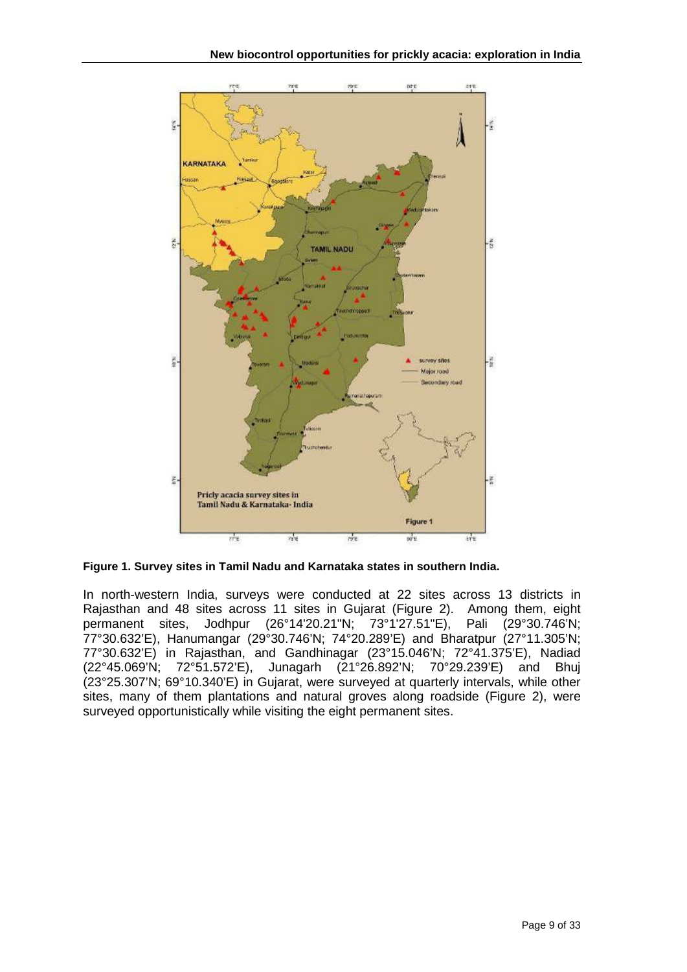

<span id="page-8-0"></span>**Figure 1. Survey sites in Tamil Nadu and Karnataka states in southern India.**

In north-western India, surveys were conducted at 22 sites across 13 districts in Rajasthan and 48 sites across 11 sites in Gujarat (Figure 2). Among them, eight permanent sites, Jodhpur (26°14'20.21"N; 73°1'27.51"E), Pali (29°30.746'N; 77°30.632'E), Hanumangar (29°30.746'N; 74°20.289'E) and Bharatpur (27°11.305'N; 77°30.632'E) in Rajasthan, and Gandhinagar (23°15.046'N; 72°41.375'E), Nadiad (22°45.069'N; 72°51.572'E), Junagarh (21°26.892'N; 70°29.239'E) and Bhuj (23°25.307'N; 69°10.340'E) in Gujarat, were surveyed at quarterly intervals, while other sites, many of them plantations and natural groves along roadside (Figure 2), were surveyed opportunistically while visiting the eight permanent sites.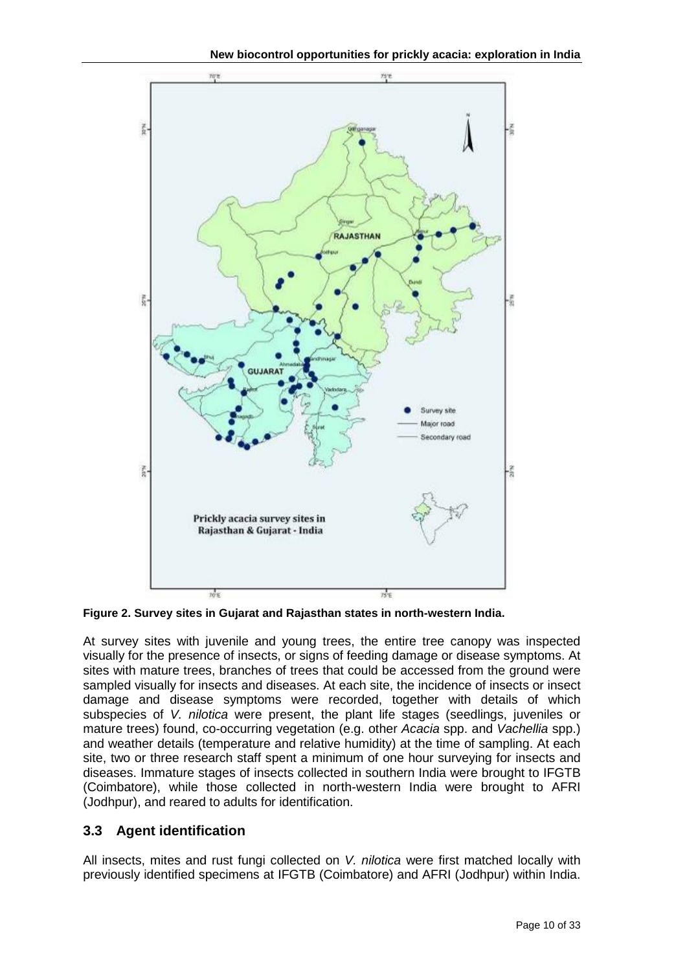

<span id="page-9-1"></span>**Figure 2. Survey sites in Gujarat and Rajasthan states in north-western India.**

At survey sites with juvenile and young trees, the entire tree canopy was inspected visually for the presence of insects, or signs of feeding damage or disease symptoms. At sites with mature trees, branches of trees that could be accessed from the ground were sampled visually for insects and diseases. At each site, the incidence of insects or insect damage and disease symptoms were recorded, together with details of which subspecies of *V. nilotica* were present, the plant life stages (seedlings, juveniles or mature trees) found, co-occurring vegetation (e.g. other *Acacia* spp. and *Vachellia* spp.) and weather details (temperature and relative humidity) at the time of sampling. At each site, two or three research staff spent a minimum of one hour surveying for insects and diseases. Immature stages of insects collected in southern India were brought to IFGTB (Coimbatore), while those collected in north-western India were brought to AFRI (Jodhpur), and reared to adults for identification.

# <span id="page-9-0"></span>**3.3 Agent identification**

All insects, mites and rust fungi collected on *V. nilotica* were first matched locally with previously identified specimens at IFGTB (Coimbatore) and AFRI (Jodhpur) within India.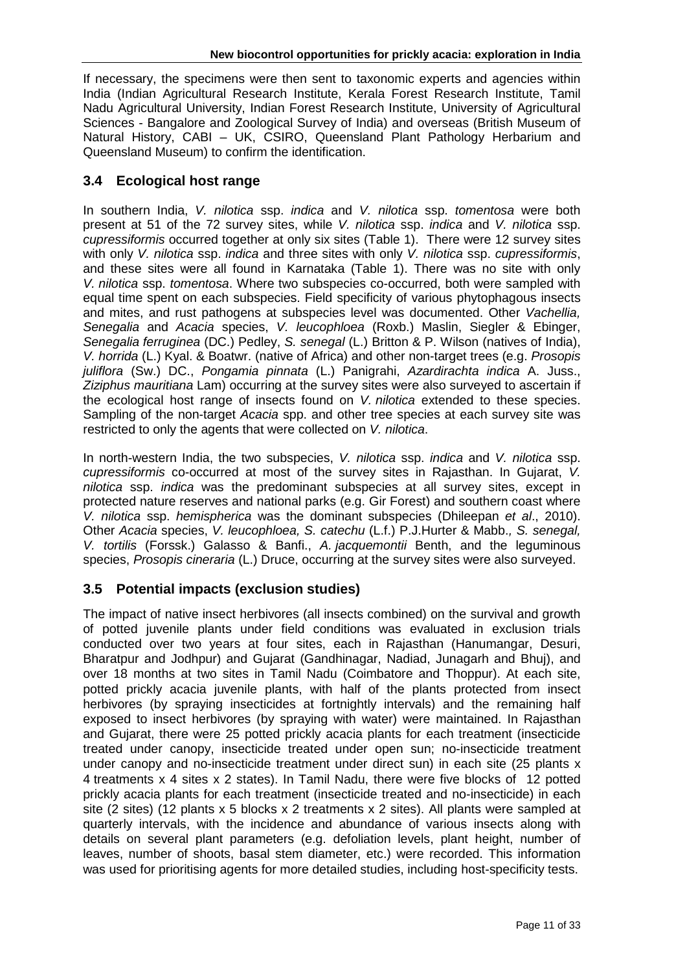If necessary, the specimens were then sent to taxonomic experts and agencies within India (Indian Agricultural Research Institute, Kerala Forest Research Institute, Tamil Nadu Agricultural University, Indian Forest Research Institute, University of Agricultural Sciences - Bangalore and Zoological Survey of India) and overseas (British Museum of Natural History, CABI – UK, CSIRO, Queensland Plant Pathology Herbarium and Queensland Museum) to confirm the identification.

## <span id="page-10-0"></span>**3.4 Ecological host range**

In southern India, *V. nilotica* ssp. *indica* and *V. nilotica* ssp. *tomentosa* were both present at 51 of the 72 survey sites, while *V. nilotica* ssp. *indica* and *V. nilotica* ssp. *cupressiformis* occurred together at only six sites (Table 1). There were 12 survey sites with only *V. nilotica* ssp. *indica* and three sites with only *V. nilotica* ssp. *cupressiformis*, and these sites were all found in Karnataka (Table 1). There was no site with only *V. nilotica* ssp. *tomentosa*. Where two subspecies co-occurred, both were sampled with equal time spent on each subspecies. Field specificity of various phytophagous insects and mites, and rust pathogens at subspecies level was documented. Other *Vachellia, Senegalia* and *Acacia* species, *V. leucophloea* (Roxb.) Maslin, Siegler & Ebinger, *Senegalia ferruginea* (DC.) Pedley, *S. senegal* (L.) Britton & P. Wilson (natives of India), *V. horrida* (L.) Kyal. & Boatwr. (native of Africa) and other non-target trees (e.g. *Prosopis juliflora* (Sw.) DC., *Pongamia pinnata* (L.) Panigrahi, *Azardirachta indica* A. Juss., *Ziziphus mauritiana* Lam) occurring at the survey sites were also surveyed to ascertain if the ecological host range of insects found on *V. nilotica* extended to these species. Sampling of the non-target *Acacia* spp. and other tree species at each survey site was restricted to only the agents that were collected on *V. nilotica*.

In north-western India, the two subspecies, *V. nilotica* ssp. *indica* and *V. nilotica* ssp. *cupressiformis* co-occurred at most of the survey sites in Rajasthan. In Gujarat, *V. nilotica* ssp. *indica* was the predominant subspecies at all survey sites, except in protected nature reserves and national parks (e.g. Gir Forest) and southern coast where *V. nilotica* ssp. *hemispherica* was the dominant subspecies (Dhileepan *et al*., 2010). Other *Acacia* species, *V. leucophloea, S. catechu* (L.f.) P.J.Hurter & Mabb.*, S. senegal, V. tortilis* (Forssk.) Galasso & Banfi., *A. jacquemontii* Benth, and the leguminous species, *Prosopis cineraria* (L.) Druce, occurring at the survey sites were also surveyed.

## <span id="page-10-1"></span>**3.5 Potential impacts (exclusion studies)**

The impact of native insect herbivores (all insects combined) on the survival and growth of potted juvenile plants under field conditions was evaluated in exclusion trials conducted over two years at four sites, each in Rajasthan (Hanumangar, Desuri, Bharatpur and Jodhpur) and Gujarat (Gandhinagar, Nadiad, Junagarh and Bhuj), and over 18 months at two sites in Tamil Nadu (Coimbatore and Thoppur). At each site, potted prickly acacia juvenile plants, with half of the plants protected from insect herbivores (by spraying insecticides at fortnightly intervals) and the remaining half exposed to insect herbivores (by spraying with water) were maintained. In Rajasthan and Gujarat, there were 25 potted prickly acacia plants for each treatment (insecticide treated under canopy, insecticide treated under open sun; no-insecticide treatment under canopy and no-insecticide treatment under direct sun) in each site (25 plants x 4 treatments x 4 sites x 2 states). In Tamil Nadu, there were five blocks of 12 potted prickly acacia plants for each treatment (insecticide treated and no-insecticide) in each site (2 sites) (12 plants x 5 blocks x 2 treatments x 2 sites). All plants were sampled at quarterly intervals, with the incidence and abundance of various insects along with details on several plant parameters (e.g. defoliation levels, plant height, number of leaves, number of shoots, basal stem diameter, etc.) were recorded. This information was used for prioritising agents for more detailed studies, including host-specificity tests.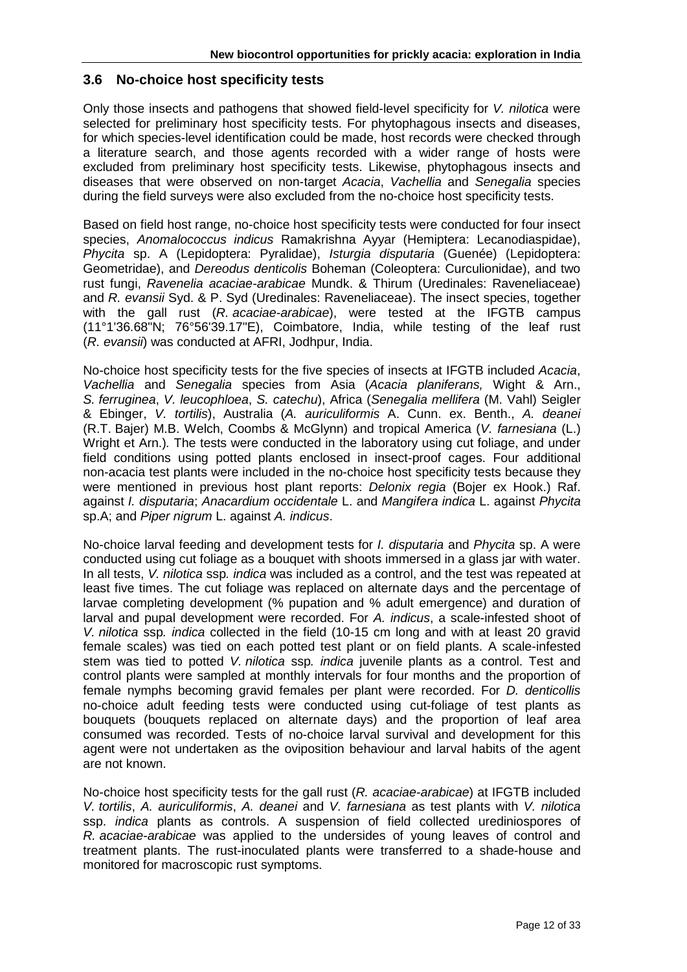#### <span id="page-11-0"></span>**3.6 No-choice host specificity tests**

Only those insects and pathogens that showed field-level specificity for *V. nilotica* were selected for preliminary host specificity tests. For phytophagous insects and diseases, for which species-level identification could be made, host records were checked through a literature search, and those agents recorded with a wider range of hosts were excluded from preliminary host specificity tests. Likewise, phytophagous insects and diseases that were observed on non-target *Acacia*, *Vachellia* and *Senegalia* species during the field surveys were also excluded from the no-choice host specificity tests.

Based on field host range, no-choice host specificity tests were conducted for four insect species, *Anomalococcus indicus* Ramakrishna Ayyar (Hemiptera: Lecanodiaspidae), *Phycita* sp. A (Lepidoptera: Pyralidae), *Isturgia disputaria* (Guenée) (Lepidoptera: Geometridae), and *Dereodus denticolis* Boheman (Coleoptera: Curculionidae), and two rust fungi, *Ravenelia acaciae-arabicae* Mundk. & Thirum (Uredinales: Raveneliaceae) and *R. evansii* Syd. & P. Syd (Uredinales: Raveneliaceae). The insect species, together with the gall rust (*R. acaciae-arabicae*), were tested at the IFGTB campus (11°1'36.68"N; 76°56'39.17"E), Coimbatore, India, while testing of the leaf rust (*R. evansii*) was conducted at AFRI, Jodhpur, India.

No-choice host specificity tests for the five species of insects at IFGTB included *Acacia*, *Vachellia* and *Senegalia* species from Asia (*Acacia planiferans,* Wight & Arn., *S. ferruginea*, *V. leucophloea*, *S. catechu*), Africa (*Senegalia mellifera* (M. Vahl) Seigler & Ebinger, *V. tortilis*), Australia (*A. auriculiformis* A. Cunn. ex. Benth., *A. deanei*  (R.T. Bajer) M.B. Welch, Coombs & McGlynn) and tropical America (*V. farnesiana* [\(L.\)](http://en.wikipedia.org/wiki/Carl_Linnaeus) Wright et Arn.)*.* The tests were conducted in the laboratory using cut foliage, and under field conditions using potted plants enclosed in insect-proof cages. Four additional non-acacia test plants were included in the no-choice host specificity tests because they were mentioned in previous host plant reports: *Delonix regia* (Bojer ex Hook.) Raf. against *I. disputaria*; *Anacardium occidentale* L. and *Mangifera indica* L. against *Phycita*  sp.A; and *Piper nigrum* L. against *A. indicus*.

No-choice larval feeding and development tests for *I. disputaria* and *Phycita* sp. A were conducted using cut foliage as a bouquet with shoots immersed in a glass jar with water. In all tests, *V. nilotica* ssp*. indica* was included as a control, and the test was repeated at least five times. The cut foliage was replaced on alternate days and the percentage of larvae completing development (% pupation and % adult emergence) and duration of larval and pupal development were recorded. For *A. indicus*, a scale-infested shoot of *V. nilotica* ssp*. indica* collected in the field (10-15 cm long and with at least 20 gravid female scales) was tied on each potted test plant or on field plants. A scale-infested stem was tied to potted *V. nilotica* ssp*. indica* juvenile plants as a control. Test and control plants were sampled at monthly intervals for four months and the proportion of female nymphs becoming gravid females per plant were recorded. For *D. denticollis* no-choice adult feeding tests were conducted using cut-foliage of test plants as bouquets (bouquets replaced on alternate days) and the proportion of leaf area consumed was recorded. Tests of no-choice larval survival and development for this agent were not undertaken as the oviposition behaviour and larval habits of the agent are not known.

No-choice host specificity tests for the gall rust (*R. acaciae-arabicae*) at IFGTB included *V. tortilis*, *A. auriculiformis*, *A. deanei* and *V. farnesiana* as test plants with *V. nilotica* ssp. *indica* plants as controls. A suspension of field collected urediniospores of *R. acaciae-arabicae* was applied to the undersides of young leaves of control and treatment plants. The rust-inoculated plants were transferred to a shade-house and monitored for macroscopic rust symptoms.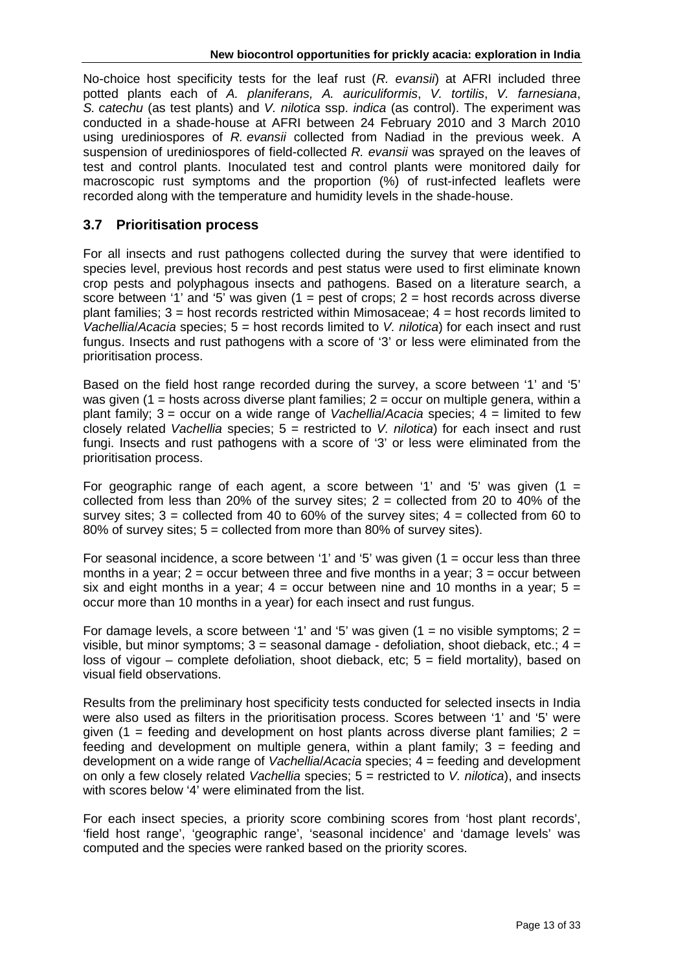No-choice host specificity tests for the leaf rust (*R. evansii*) at AFRI included three potted plants each of *A. planiferans, A. auriculiformis*, *V. tortilis*, *V. farnesiana*, *S. catechu* (as test plants) and *V. nilotica* ssp. *indica* (as control). The experiment was conducted in a shade-house at AFRI between 24 February 2010 and 3 March 2010 using urediniospores of *R. evansii* collected from Nadiad in the previous week. A suspension of urediniospores of field-collected *R. evansii* was sprayed on the leaves of test and control plants. Inoculated test and control plants were monitored daily for macroscopic rust symptoms and the proportion (%) of rust-infected leaflets were recorded along with the temperature and humidity levels in the shade-house.

## <span id="page-12-0"></span>**3.7 Prioritisation process**

For all insects and rust pathogens collected during the survey that were identified to species level, previous host records and pest status were used to first eliminate known crop pests and polyphagous insects and pathogens. Based on a literature search, a score between '1' and '5' was given  $(1 = \text{pest of crops}; 2 = \text{host records across diverse})$ plant families;  $3 =$  host records restricted within Mimosaceae;  $4 =$  host records limited to *Vachellia*/*Acacia* species; 5 = host records limited to *V. nilotica*) for each insect and rust fungus. Insects and rust pathogens with a score of '3' or less were eliminated from the prioritisation process.

Based on the field host range recorded during the survey, a score between '1' and '5' was given (1 = hosts across diverse plant families;  $2 =$  occur on multiple genera, within a plant family; 3 = occur on a wide range of *Vachellia*/*Acacia* species; 4 = limited to few closely related *Vachellia* species; 5 = restricted to *V. nilotica*) for each insect and rust fungi. Insects and rust pathogens with a score of '3' or less were eliminated from the prioritisation process.

For geographic range of each agent, a score between '1' and '5' was given  $(1 =$ collected from less than 20% of the survey sites;  $2 =$  collected from 20 to 40% of the survey sites;  $3 =$  collected from 40 to 60% of the survey sites;  $4 =$  collected from 60 to 80% of survey sites; 5 = collected from more than 80% of survey sites).

For seasonal incidence, a score between '1' and '5' was given  $(1 = \text{occur} \text{ less than three})$ months in a year;  $2 =$  occur between three and five months in a year;  $3 =$  occur between six and eight months in a year;  $4 =$  occur between nine and 10 months in a year;  $5 =$ occur more than 10 months in a year) for each insect and rust fungus.

For damage levels, a score between '1' and '5' was given  $(1 = no$  visible symptoms;  $2 =$ visible, but minor symptoms;  $3 =$  seasonal damage - defoliation, shoot dieback, etc.;  $4 =$ loss of vigour – complete defoliation, shoot dieback, etc;  $5 =$  field mortality), based on visual field observations.

Results from the preliminary host specificity tests conducted for selected insects in India were also used as filters in the prioritisation process. Scores between '1' and '5' were given (1 = feeding and development on host plants across diverse plant families;  $2 =$ feeding and development on multiple genera, within a plant family;  $3 =$  feeding and development on a wide range of *Vachellia*/*Acacia* species; 4 = feeding and development on only a few closely related *Vachellia* species; 5 = restricted to *V. nilotica*), and insects with scores below '4' were eliminated from the list.

For each insect species, a priority score combining scores from 'host plant records', 'field host range', 'geographic range', 'seasonal incidence' and 'damage levels' was computed and the species were ranked based on the priority scores.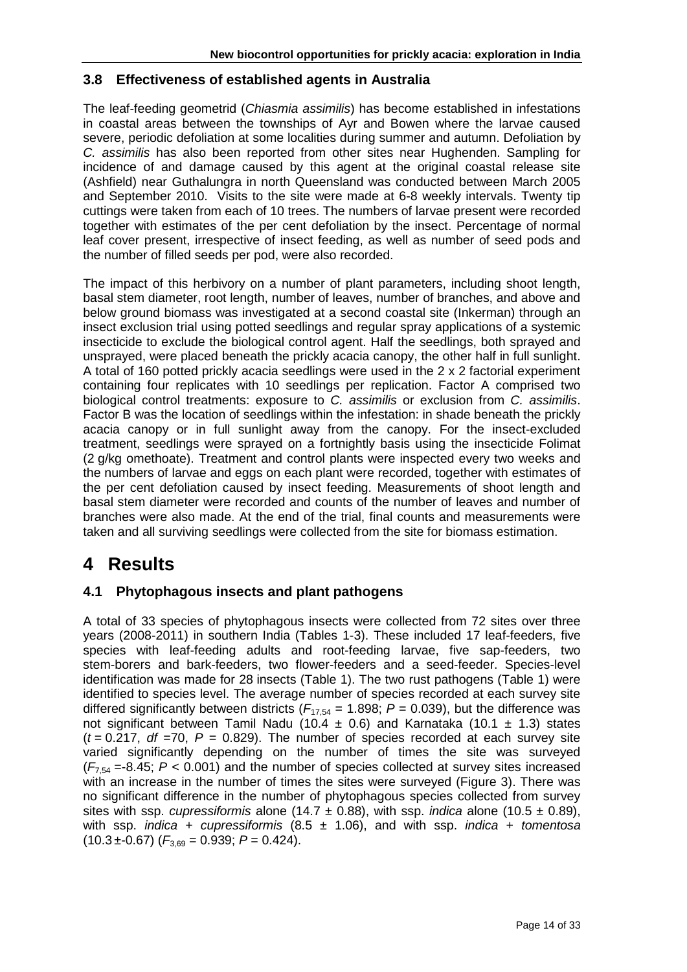## **3.8 Effectiveness of established agents in Australia**

The leaf-feeding geometrid (*Chiasmia assimilis*) has become established in infestations in coastal areas between the townships of Ayr and Bowen where the larvae caused severe, periodic defoliation at some localities during summer and autumn. Defoliation by *C. assimilis* has also been reported from other sites near Hughenden. Sampling for incidence of and damage caused by this agent at the original coastal release site (Ashfield) near Guthalungra in north Queensland was conducted between March 2005 and September 2010. Visits to the site were made at 6-8 weekly intervals. Twenty tip cuttings were taken from each of 10 trees. The numbers of larvae present were recorded together with estimates of the per cent defoliation by the insect. Percentage of normal leaf cover present, irrespective of insect feeding, as well as number of seed pods and the number of filled seeds per pod, were also recorded.

The impact of this herbivory on a number of plant parameters, including shoot length, basal stem diameter, root length, number of leaves, number of branches, and above and below ground biomass was investigated at a second coastal site (Inkerman) through an insect exclusion trial using potted seedlings and regular spray applications of a systemic insecticide to exclude the biological control agent. Half the seedlings, both sprayed and unsprayed, were placed beneath the prickly acacia canopy, the other half in full sunlight. A total of 160 potted prickly acacia seedlings were used in the 2 x 2 factorial experiment containing four replicates with 10 seedlings per replication. Factor A comprised two biological control treatments: exposure to *C. assimilis* or exclusion from *C. assimilis*. Factor B was the location of seedlings within the infestation: in shade beneath the prickly acacia canopy or in full sunlight away from the canopy. For the insect-excluded treatment, seedlings were sprayed on a fortnightly basis using the insecticide Folimat (2 g/kg omethoate). Treatment and control plants were inspected every two weeks and the numbers of larvae and eggs on each plant were recorded, together with estimates of the per cent defoliation caused by insect feeding. Measurements of shoot length and basal stem diameter were recorded and counts of the number of leaves and number of branches were also made. At the end of the trial, final counts and measurements were taken and all surviving seedlings were collected from the site for biomass estimation.

# <span id="page-13-0"></span>**4 Results**

## <span id="page-13-1"></span>**4.1 Phytophagous insects and plant pathogens**

A total of 33 species of phytophagous insects were collected from 72 sites over three years (2008-2011) in southern India (Tables 1-3). These included 17 leaf-feeders, five species with leaf-feeding adults and root-feeding larvae, five sap-feeders, two stem-borers and bark-feeders, two flower-feeders and a seed-feeder. Species-level identification was made for 28 insects (Table 1). The two rust pathogens (Table 1) were identified to species level. The average number of species recorded at each survey site differed significantly between districts ( $F_{17,54}$  = 1.898;  $P = 0.039$ ), but the difference was not significant between Tamil Nadu (10.4  $\pm$  0.6) and Karnataka (10.1  $\pm$  1.3) states  $(t = 0.217, df = 70, P = 0.829)$ . The number of species recorded at each survey site varied significantly depending on the number of times the site was surveyed  $(F<sub>7.54</sub> = -8.45; P < 0.001)$  and the number of species collected at survey sites increased with an increase in the number of times the sites were surveyed (Figure 3). There was no significant difference in the number of phytophagous species collected from survey sites with ssp. *cupressiformis* alone (14.7  $\pm$  0.88), with ssp. *indica* alone (10.5  $\pm$  0.89), with ssp. *indica* + *cupressiformis* (8.5 ± 1.06), and with ssp. *indica* + *tomentosa*  $(10.3 \pm 0.67)$   $(F_{3.69} = 0.939; P = 0.424)$ .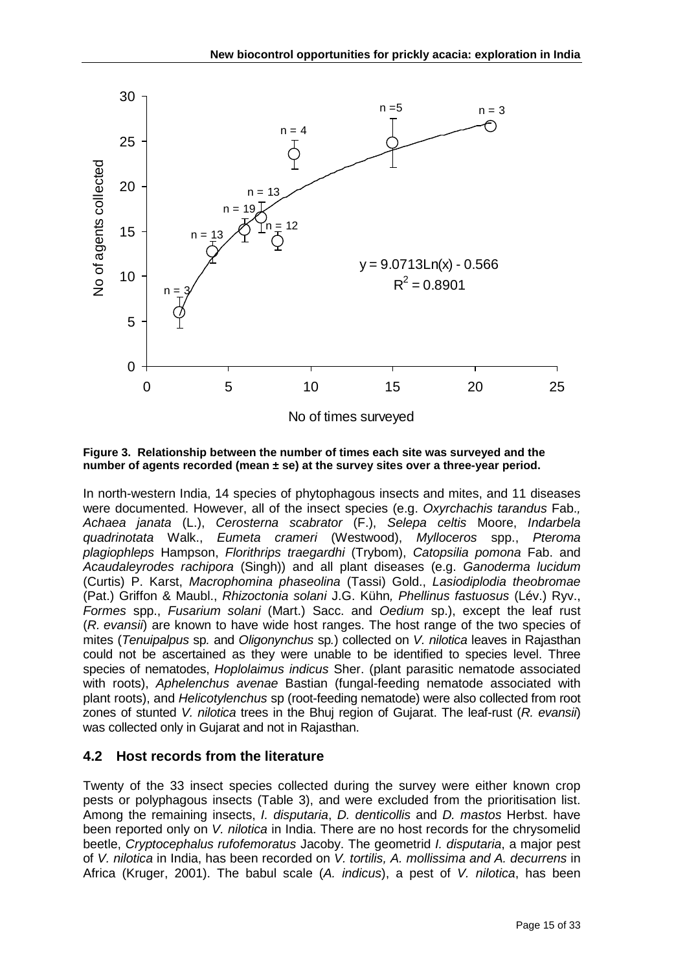

<span id="page-14-1"></span>**Figure 3. Relationship between the number of times each site was surveyed and the number of agents recorded (mean ± se) at the survey sites over a three-year period.**

In north-western India, 14 species of phytophagous insects and mites, and 11 diseases were documented. However, all of the insect species (e.g. *Oxyrchachis tarandus* Fab.*, Achaea janata* (L.), *Cerosterna scabrator* (F.), *Selepa celtis* Moore, *Indarbela quadrinotata* Walk., *Eumeta crameri* (Westwood), *Mylloceros* spp., *Pteroma plagiophleps* Hampson, *Florithrips traegardhi* (Trybom), *Catopsilia pomona* Fab. and *Acaudaleyrodes rachipora* (Singh)) and all plant diseases (e.g. *Ganoderma lucidum* (Curtis) P. Karst, *Macrophomina phaseolina* (Tassi) Gold., *Lasiodiplodia theobromae* (Pat.) Griffon & Maubl., *Rhizoctonia solani* J.G. Kühn*, Phellinus fastuosus* (Lév.) Ryv., *Formes* spp., *Fusarium solani* (Mart.) Sacc. and *Oedium* sp.), except the leaf rust (*R. evansii*) are known to have wide host ranges. The host range of the two species of mites (*Tenuipalpus* sp*.* and *Oligonynchus* sp*.*) collected on *V. nilotica* leaves in Rajasthan could not be ascertained as they were unable to be identified to species level. Three species of nematodes, *Hoplolaimus indicus* Sher. (plant parasitic nematode associated with roots), *Aphelenchus avenae* Bastian (fungal-feeding nematode associated with plant roots), and *Helicotylenchus* sp (root-feeding nematode) were also collected from root zones of stunted *V. nilotica* trees in the Bhuj region of Gujarat. The leaf-rust (*R. evansii*) was collected only in Gujarat and not in Rajasthan.

## <span id="page-14-0"></span>**4.2 Host records from the literature**

Twenty of the 33 insect species collected during the survey were either known crop pests or polyphagous insects (Table 3), and were excluded from the prioritisation list. Among the remaining insects, *I. disputaria*, *D. denticollis* and *D. mastos* Herbst. have been reported only on *V. nilotica* in India. There are no host records for the chrysomelid beetle, *Cryptocephalus rufofemoratus* Jacoby. The geometrid *I. disputaria*, a major pest of *V. nilotica* in India, has been recorded on *V. tortilis, A. mollissima and A. decurrens* in Africa (Kruger, 2001). The babul scale (*A. indicus*), a pest of *V. nilotica*, has been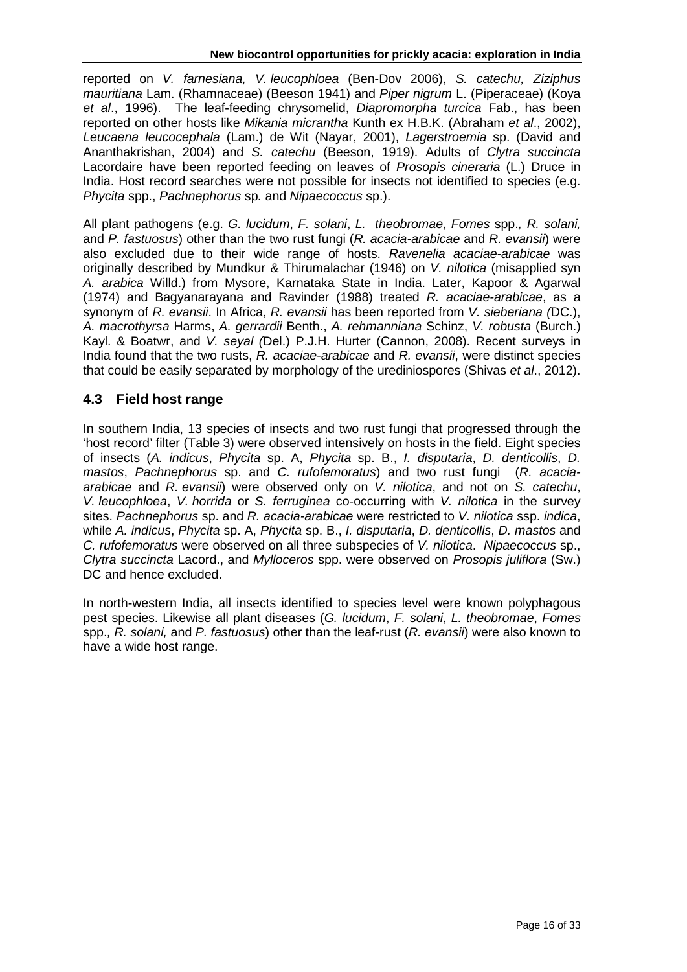reported on *V. farnesiana, V. leucophloea* (Ben-Dov 2006), *S. catechu, Ziziphus mauritiana* Lam. (Rhamnaceae) (Beeson 1941) and *Piper nigrum* L. (Piperaceae) (Koya *et al*., 1996). The leaf-feeding chrysomelid, *Diapromorpha turcica* Fab., has been reported on other hosts like *Mikania micrantha* Kunth ex H.B.K. (Abraham *et al*., 2002), *Leucaena leucocephala* (Lam.) de Wit (Nayar, 2001), *Lagerstroemia* sp. (David and Ananthakrishan, 2004) and *S. catechu* (Beeson, 1919). Adults of *Clytra succincta* Lacordaire have been reported feeding on leaves of *Prosopis cineraria* (L.) Druce in India. Host record searches were not possible for insects not identified to species (e.g. *Phycita* spp., *Pachnephorus* sp*.* and *Nipaecoccus* sp.).

All plant pathogens (e.g. *G. lucidum*, *F. solani*, *L. theobromae*, *Fomes* spp.*, R. solani,*  and *P. fastuosus*) other than the two rust fungi (*R. acacia-arabicae* and *R. evansii*) were also excluded due to their wide range of hosts. *Ravenelia acaciae-arabicae* was originally described by Mundkur & Thirumalachar (1946) on *V. nilotica* (misapplied syn *A. arabica* Willd.) from Mysore, Karnataka State in India. Later, Kapoor & Agarwal (1974) and Bagyanarayana and Ravinder (1988) treated *R. acaciae-arabicae*, as a synonym of *R. evansii*. In Africa, *R. evansii* has been reported from *V. sieberiana (*DC.), *A. macrothyrsa* Harms, *A. gerrardii* Benth., *A. rehmanniana* Schinz, *V. robusta* (Burch.) Kayl. & Boatwr, and *V. seyal (*Del.) P.J.H. Hurter (Cannon, 2008). Recent surveys in India found that the two rusts, *R. acaciae-arabicae* and *R. evansii*, were distinct species that could be easily separated by morphology of the urediniospores (Shivas *et al*., 2012).

## <span id="page-15-0"></span>**4.3 Field host range**

In southern India, 13 species of insects and two rust fungi that progressed through the 'host record' filter (Table 3) were observed intensively on hosts in the field. Eight species of insects (*A. indicus*, *Phycita* sp. A, *Phycita* sp. B., *I. disputaria*, *D. denticollis*, *D. mastos*, *Pachnephorus* sp. and *C. rufofemoratus*) and two rust fungi (*R. acaciaarabicae* and *R. evansii*) were observed only on *V. nilotica*, and not on *S. catechu*, *V. leucophloea*, *V. horrida* or *S. ferruginea* co-occurring with *V. nilotica* in the survey sites. *Pachnephorus* sp. and *R. acacia-arabicae* were restricted to *V. nilotica* ssp. *indica*, while *A. indicus*, *Phycita* sp. A, *Phycita* sp. B., *I. disputaria*, *D. denticollis*, *D. mastos* and *C. rufofemoratus* were observed on all three subspecies of *V. nilotica*. *Nipaecoccus* sp., *Clytra succincta* Lacord., and *Mylloceros* spp. were observed on *Prosopis juliflora* (Sw.) DC and hence excluded.

In north-western India, all insects identified to species level were known polyphagous pest species. Likewise all plant diseases (*G. lucidum*, *F. solani*, *L. theobromae*, *Fomes*  spp.*, R. solani,* and *P. fastuosus*) other than the leaf-rust (*R. evansii*) were also known to have a wide host range.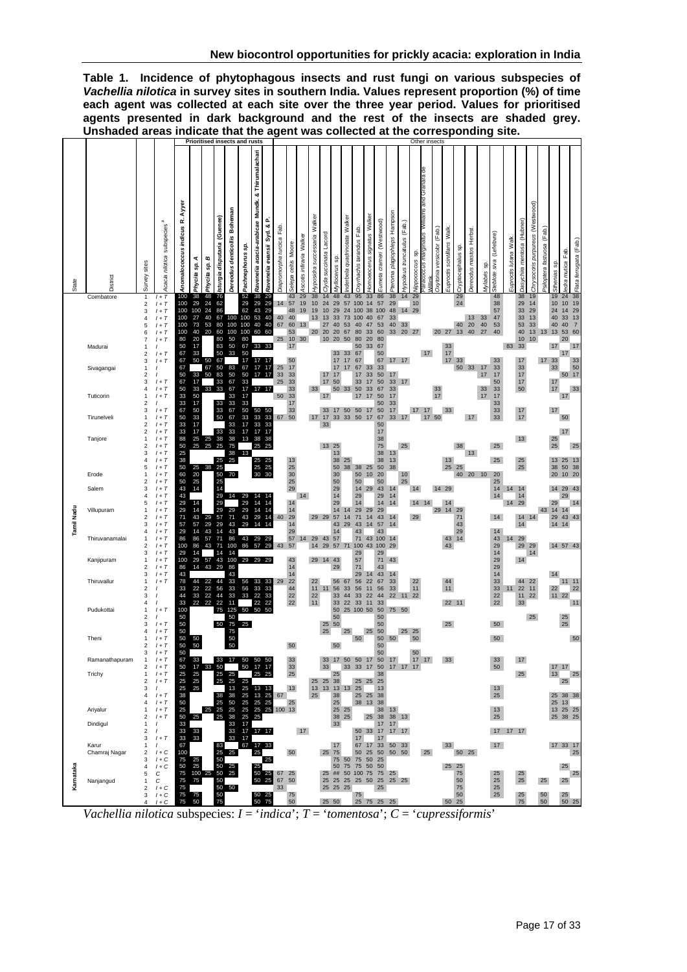<span id="page-16-0"></span>

| Table 1. Incidence of phytophagous insects and rust fungi on various subspecies of            |
|-----------------------------------------------------------------------------------------------|
| Vachellia nilotica in survey sites in southern India. Values represent proportion (%) of time |
| each agent was collected at each site over the three year period. Values for prioritised      |
| agents presented in dark background and the rest of the insects are shaded grey.              |
| Unshaded areas indicate that the agent was collected at the corresponding site.               |

|            |                                                                                     |                                                                                        |                                                                                                                                                                       |                                                                                                               |                                                                                                     |                                                                 |                                                                                                           | <b>Prioritised insects and rusts</b>                                                      |                                                                                                             |                                                                                  |                                                                                               |                                                       |                                                                                        |                                |                                       |                                                                      |                                                                                  |                                                                   |                                                                                              |                                                                      |                                                                                                           |                                                                               |                                 |                         | Other insects                                   |                               |                                   |                               |                        |                                        |                                                                                  |                             |                                                                                  |                                              |                              |                                                          |                                                                                                                               |                        |
|------------|-------------------------------------------------------------------------------------|----------------------------------------------------------------------------------------|-----------------------------------------------------------------------------------------------------------------------------------------------------------------------|---------------------------------------------------------------------------------------------------------------|-----------------------------------------------------------------------------------------------------|-----------------------------------------------------------------|-----------------------------------------------------------------------------------------------------------|-------------------------------------------------------------------------------------------|-------------------------------------------------------------------------------------------------------------|----------------------------------------------------------------------------------|-----------------------------------------------------------------------------------------------|-------------------------------------------------------|----------------------------------------------------------------------------------------|--------------------------------|---------------------------------------|----------------------------------------------------------------------|----------------------------------------------------------------------------------|-------------------------------------------------------------------|----------------------------------------------------------------------------------------------|----------------------------------------------------------------------|-----------------------------------------------------------------------------------------------------------|-------------------------------------------------------------------------------|---------------------------------|-------------------------|-------------------------------------------------|-------------------------------|-----------------------------------|-------------------------------|------------------------|----------------------------------------|----------------------------------------------------------------------------------|-----------------------------|----------------------------------------------------------------------------------|----------------------------------------------|------------------------------|----------------------------------------------------------|-------------------------------------------------------------------------------------------------------------------------------|------------------------|
| State      | District                                                                            | Survey sites                                                                           | subspecies <sup>#</sup><br>Acacia nilotica                                                                                                                            | Ayyer<br>Anomalococcus indicus R.<br>100                                                                      | 4<br>SP.<br>Phycita<br>38                                                                           | c<br>ဇွ<br>Phycita<br>48                                        | Isturgia disputaria (Guenee)                                                                              | Boheman<br>Dereodus denticollis                                                           | Pachnephorus sp.<br>52                                                                                      | & Thirumalachar<br>Ravenelia acacia-arabicae Mundk.<br>38                        | o.<br>Ravenelia evansii Syd. &                                                                | Fab.<br>Diapromorpha turcica                          | Selepa celtis Moore<br>43                                                              | Ascotis infiraria Walker<br>29 | Walker<br>typosidra successaria<br>38 | Lacord<br>Clyda succinata<br>14                                      | sp.<br>Wyllocerus<br>48                                                          | quadrinotata Walker<br>nderbela<br>43                             | Fab<br>tarandus<br>Oxyrhachis<br>95                                                          | Homoeocerus signatus Walker<br>33                                    | Eumeta crameri (Westwood)<br>86                                                                           | Pteroma plagiophleps Hampson<br>38                                            | (Fab.)<br>typolixus truncatulus | s,<br>vippococcus<br>29 | and Granara de<br>sweiliw<br>snte<br>preus maro | (Fab.)<br>Oxytonia versicolor | Walk.<br>scintillans<br>Euproctis | င္တ<br>Cryptocephalus<br>29   | Dereodus mastos Herbst | sp.<br><b>Wylabris</b>                 | (Lefebvre)<br>Steblote siva<br>48                                                | Walk<br>lutana<br>Euproctis | Dasychira mentosa (Hubner)<br>38                                                 | (Westwood)<br>purpureus<br>Chrysocoris<br>19 | (Fab.<br>Psiloptera fastuosa | SD.<br>Sthenias<br>19                                    | ledra mutica Fab.<br>38<br>24                                                                                                 | Flata ferrugata (Fab.) |
|            | Coimbatore<br>Madurai<br>Sivagangai<br>Tuticorin<br>Tirunelveli                     | 1<br>2<br>3<br>4<br>5<br>6<br>7<br>2<br>3<br>1<br>2<br>3<br>4<br>1<br>2<br>3<br>1<br>2 | $1+T$<br>$1+T$<br>$1+T$<br>$1+T$<br>$1+T$<br>$1+T$<br>$1+T$<br>$\prime$<br>$1+T$<br>$1+T$<br>$1+T$<br>$1+T$<br>$1+T$<br>$\prime$<br>$1+T$<br>$l+\mathcal{T}$<br>$1+T$ | 100<br>100<br>100<br>100<br>100<br>80<br>50<br>67<br>67<br>67<br>50<br>67<br>50<br>33<br>33<br>67<br>50<br>33 | 29<br>100<br>27<br>73<br>40<br>20<br>17<br>33<br>50<br>33<br>17<br>33<br>50<br>17<br>50<br>33<br>17 | 24<br>24<br>40<br>53<br>20<br>50<br>67<br>50<br>33              | 76<br>62<br>86<br>67<br>80<br>60<br>80<br>83<br>50<br>67<br>50<br>83<br>$\frac{33}{33}$<br>33<br>33<br>50 | 100<br>100<br>100<br>50<br>50<br>33<br>83<br>50<br>67<br>67<br>33<br>33<br>67<br>67<br>33 | 29<br>62<br>100<br>100<br>100<br>80<br>67<br>50<br>17<br>67<br>50<br>33<br>17<br>17<br>33<br>50<br>33<br>17 | 29<br>43<br>53<br>40<br>60<br>33<br>17<br>17<br>17<br>17 17<br>50 50<br>33<br>33 | 29<br>29<br>29<br>40<br>40<br>60<br>33<br>17<br>17<br>$\begin{array}{c} 33 \\ 33 \end{array}$ | 14<br>40<br>67<br>25<br>25<br>33<br>25<br>50<br>67 50 | 57<br>48<br>40<br>60<br>53<br>10<br>17<br>50<br>17<br>33<br>33<br>33<br>33<br>17<br>33 | 19<br>19<br>13<br>30           | 10<br>19<br>13<br>20<br>33<br>17      | 24<br>10<br>13<br>27<br>20<br>10<br>17<br>17<br>17<br>33<br>17<br>33 | 29<br>29<br>33<br>40<br>20<br>20<br>33<br>17<br>17<br>17<br>50<br>50 33<br>17 50 | 57<br>24<br>73<br>53<br>67<br>50<br>33<br>17<br>17<br>33 33 50 17 | 100<br>100<br>100<br>40<br>80<br>80<br>50<br>67<br>67<br>67<br>17<br>33<br>50<br>17<br>50 17 | 14<br>38<br>40<br>47<br>33<br>20<br>33<br>33<br>33<br>17<br>33<br>17 | 57<br>100<br>67<br>53<br>60<br>80<br>67<br>50<br>67<br>33<br>50<br>50<br>67<br>50<br>50<br>50<br>67<br>50 | 29<br>48<br>33<br>40<br>33<br>17<br>17<br>33<br>33<br>17<br>33<br>17<br>33 17 | 14<br>33<br>20<br>17<br>17      | 10<br>29<br>27<br>17    | 17<br>17<br>17                                  | 20<br>33<br>17<br>50          | 27<br>33<br>17<br>17<br>33        | 24<br>40<br>13<br>33<br>50 33 | 13<br>20<br>40<br>17   | 33<br>40<br>27<br>17<br>17<br>33<br>17 | 38<br>57<br>47<br>53<br>40<br>33<br>33<br>17<br>50<br>33<br>17<br>33<br>33<br>33 | 83                          | 29<br>33<br>33<br>53<br>40<br>10<br>33<br>17<br>33<br>17<br>17<br>50<br>17<br>17 | 14<br>29<br>13<br>33<br>13<br>10             | 13<br>17 33                  | 10<br>24<br>40<br>40<br>13<br>17<br>33<br>17<br>17<br>17 | 10<br>19<br>29<br>14<br>33<br>13<br>40<br>$\overline{7}$<br>53<br>60<br>20<br>17<br>17<br>33<br>50<br>50 17<br>33<br>17<br>50 |                        |
|            | Tanjore<br>Erode<br>Salem                                                           | 2<br>1<br>2<br>3<br>4<br>5<br>1<br>2<br>3                                              | $1+T$<br>$1+T$<br>$1+T$<br>$1+T$<br>$1+T$<br>$1+T$<br>$1+T$<br>$1+T$<br>$1+T$                                                                                         | 33<br>88<br>50<br>25<br>38<br>50<br>60<br>50<br>43                                                            | $\frac{17}{25}$<br>25<br>20<br>25<br>14                                                             | 25<br>25<br>25 38                                               | 33<br>$38\,$<br>25<br>25<br>25<br>50<br>25<br>14                                                          | 33<br>38<br>75<br>38<br>25<br>70                                                          | $\frac{17}{13}$<br>13                                                                                       | 17<br>38<br>25<br>25 25<br>25<br>30 30                                           | 17<br>38<br>25<br>25                                                                          |                                                       | $13$<br>$\frac{25}{30}$<br>25<br>29                                                    |                                |                                       | 13 25                                                                | 13<br>38<br>50<br>30<br>50<br>29                                                 | 25<br>38                                                          | 38<br>50<br>50<br>14                                                                         | 25<br>10<br>29                                                       | 17<br>38<br>75<br>38<br>38<br>50<br>20<br>50<br>43                                                        | 13<br>13<br>38<br>14                                                          | 25<br>10<br>25                  | 14                      |                                                 | 14 29                         | 13<br>25                          | 38<br>25                      | 13<br>40 20 10         |                                        | 25<br>25<br>20<br>25<br>14                                                       | 14                          | 13<br>25<br>25<br>14                                                             |                                              |                              | 25<br>25<br>13 25<br>38<br>20<br>14 29                   | 17<br>13<br>50<br>38<br>10 20<br>43                                                                                           |                        |
| Tamil Nadu | Villupuram<br>Thiruvanamalai                                                        | 4<br>5<br>$\overline{2}$<br>3<br>4<br>1<br>2                                           | $1+T$<br>$1+T$<br>$1+T$<br>$1+T$<br>$1+T$<br>$1+T$<br>$1+T$<br>$1+T$                                                                                                  | 43<br>29<br>29<br>71<br>57<br>29<br>86<br>100                                                                 | 14<br>14<br>43<br>57<br>14<br>86<br>86                                                              | 29<br>29<br>43<br>57<br>43                                      | 29<br>29<br>29<br>57<br>$\frac{29}{14}$<br>71                                                             | 14<br>29<br>71<br>43<br>43<br>86<br>100                                                   | 29<br>29<br>29<br>43<br>29<br>43<br>86                                                                      | 14<br>14<br>14<br>29<br>14<br>29 29<br>57                                        | 14<br>14<br>14<br>14<br>29                                                                    | 40<br>43                                              | 14<br>14<br>29<br>14<br>29<br>57<br>57                                                 | 14<br>14                       | 29 29 57<br>29 43                     |                                                                      | 14<br>29<br>14<br>43<br>14<br>57<br>14 29 57 71                                  | 14<br>14<br>29                                                    | 29<br>14<br>29<br>71<br>43<br>43<br>71<br>100 43                                             | 29<br>14<br>14<br>43                                                 | 29<br>14<br>29<br>43<br>57<br>43<br>100<br>100                                                            | 14<br>14<br>14<br>14<br>14<br>29                                              |                                 | 29                      | 14 14                                           | 29 14                         | 14<br>43<br>43                    | 29<br>71<br>43<br>29<br>14    |                        |                                        | 14<br>14<br>14<br>43<br>29                                                       | 14 29<br>14                 | 14<br>14 14<br>14<br>29<br>29                                                    | 29                                           | 43                           | 29<br>14<br>29<br>14 14<br>14 57 43                      | 29<br>14<br>14<br>43<br>43                                                                                                    |                        |
|            | Kanjipuram<br>Thiruvallur                                                           | 3<br>1<br>$\overline{2}$<br>3<br>3                                                     | $1+T$<br>$1+T$<br>$1+T$<br>$1+T$<br>$1+T$<br>$\prime$                                                                                                                 | 29<br>100<br>86<br>43<br>78<br>33<br>44<br>33                                                                 | 14<br>29<br>14<br>22<br>33<br>22                                                                    | 57<br>43<br>22<br>$\begin{array}{c} 22 \\ 22 \\ 22 \end{array}$ | 14<br>43<br>29<br>44<br>$\begin{array}{c} 56 \\ 44 \\ 22 \end{array}$                                     | 14<br>100<br>86<br>43<br>33<br>33<br>33<br>11                                             | 29<br>56<br>56<br>33                                                                                        | 29<br>33<br>33<br>22<br>22                                                       | 33<br>33<br>33<br>22                                                                          | 29                                                    | 43<br>14<br>14<br>22<br>44<br>22<br>22                                                 |                                | 29<br>22<br>$11 \t11$<br>22<br>11     | 14 43                                                                | 29<br>56<br>56<br>33<br>33                                                       | 67<br>33<br>44<br>22                                              | 29<br>57<br>71<br>29<br>56<br>56<br>33<br>33                                                 | 14<br>22<br>11<br>22<br>11                                           | 29<br>71<br>43<br>43<br>67<br>56<br>44<br>33                                                              | 43<br>14<br>33<br>33<br>22                                                    |                                 | 22<br>11<br>22          |                                                 |                               | 44<br>11<br>22 11                 |                               |                        |                                        | 14<br>29<br>29<br>14<br>33<br>33<br>22<br>22                                     | 11                          | 14<br>44<br>22<br>11<br>33                                                       | 14<br>22<br>11<br>22                         |                              | 14<br>22<br>11 22                                        | 11 11<br>22<br>11                                                                                                             |                        |
|            | Pudukottai<br>Theni<br>Ramanathapuram                                               | 2<br>3<br>2<br>3<br>1                                                                  | $1+T$<br>$1+T$<br>$1+T$<br>$1+T$<br>$1+T$<br>$1+T$<br>$1+T$                                                                                                           | 100<br>50<br>50<br>50<br>50<br>50<br>50<br>67                                                                 | 50<br>50<br>33                                                                                      |                                                                 | 75<br>50<br>33                                                                                            | 125<br>50<br>75<br>75<br>50<br>50<br>$\frac{1}{2}$                                        | 50 50<br>25<br>50                                                                                           | 50 50                                                                            | 50                                                                                            |                                                       | 50<br>33                                                                               |                                |                                       | 25 50<br>25<br>33                                                    | 50<br>50<br>50                                                                   | 25 100 50<br>25<br>17 50 50 17 50 17                              | 50                                                                                           | 25 50                                                                | 50<br>50<br>50<br>50<br>50<br>50                                                                          | 75 50<br>50                                                                   | 25 25                           | 50<br>50<br>17          | 17                                              |                               | 25<br>33                          |                               |                        |                                        | 50<br>50<br>33                                                                   |                             | 17                                                                               | 25                                           |                              | 25                                                       | 25<br>50                                                                                                                      |                        |
|            | Trichy<br>Ariyalur                                                                  | 2<br>1<br>2<br>3<br>4<br>4<br>$\mathbf{1}$                                             | $1+T$<br>$1+T$<br>$1+T$<br>$\prime$<br>$1+T$<br>$1+T$<br>$1+T$                                                                                                        | 50<br>$\frac{25}{25}$<br>25<br>38<br>50<br>25                                                                 | $\begin{array}{c} 17 \\ 25 \\ 25 \end{array}$<br>25                                                 | 33                                                              | 50<br>25<br>38<br>25<br>25 25                                                                             | 25<br>25 25<br>13<br>38<br>$\frac{50}{25}$                                                | 50<br>25<br>25<br>25<br>$\frac{25}{25}$                                                                     | 17 17<br>25<br>13<br>13 25<br>$\frac{25}{25}$                                    | 25<br>13<br>25<br>25 100 13                                                                   | 67                                                    | 33<br>25<br>13                                                                         |                                | 25                                    | 33<br>25 25 38                                                       | 25<br>38<br>25<br>25 25                                                          | 33 33 17 50 17 17 17<br>13 13 13 13 25                            | 25 25<br>38 13                                                                               | 25 25 25                                                             | 38<br>13<br>38<br>38<br>38                                                                                | 13                                                                            |                                 |                         |                                                 |                               |                                   |                               |                        |                                        | 50<br>13<br>25<br>13                                                             |                             | 25                                                                               |                                              |                              | 17 17<br>13<br>25 38 38<br>25 13<br>13 25 25             | 25<br>25                                                                                                                      |                        |
|            | Dindigul<br>Karur<br>Chamraj Nagar                                                  | 2<br>1<br>2<br>3<br>1<br>2                                                             | $1+T$<br>$\prime$<br>$\prime$<br>$1+T$<br>$\prime$<br>$1+C$                                                                                                           | 50<br>33<br>33<br>33<br>67<br>100                                                                             | 25<br>33<br>33                                                                                      |                                                                 | 83<br>25                                                                                                  | 25 38<br>33<br>33<br>33 17<br>25                                                          | 25<br>17<br>67                                                                                              | 25<br>17 17 17<br>17 33<br>25                                                    |                                                                                               |                                                       | 50                                                                                     | 17                             |                                       | 25 75                                                                | 38 25<br>33<br>17                                                                |                                                                   | 17<br>50                                                                                     | 25<br>50 33 17<br>67 17 33<br>25 50                                  | 38<br>17 17<br>17                                                                                         | 38 13<br>17 17<br>50 33<br>50 50                                              |                                 |                         | 25                                              |                               | 33                                | 50 25                         |                        |                                        | 25<br>17 17 17<br>17                                                             |                             |                                                                                  |                                              |                              | 25 38 25<br>17 33 17                                     | 25                                                                                                                            |                        |
| Karnataka  | Nanjangud                                                                           | 3<br>5<br>1<br>2<br>3<br>4                                                             | $1 + C$<br>$1+C$<br>С<br>С<br>$1 + C$<br>$1 + C$<br>$l+\mathbb{C}$                                                                                                    | 75<br>50<br>75<br>75<br>75<br>75<br>75                                                                        | 25<br>25<br>75<br>75<br>50                                                                          | 100 25                                                          | 50<br>50<br>50<br>50<br>50<br>75                                                                          | 25<br>25<br>50 50                                                                         |                                                                                                             | 25<br>$\begin{array}{cc} 50 & 25 \\ 50 & 75 \end{array}$                         | 25<br>50 25<br>50 25 67                                                                       | 67<br>33                                              | 25<br>50<br>75<br>50                                                                   |                                |                                       | 25 50                                                                | 50 75<br>25 25 25<br>25 25 25                                                    | 75 50 75<br>25 ## 50 100 75 75 25                                 | 75                                                                                           | 50 25<br>75 50 50<br>25 75 25 25                                     | 25                                                                                                        | 25 50 25 25 25                                                                |                                 |                         |                                                 |                               | 25 25<br>50 25                    | 75<br>50<br>75<br>50          |                        |                                        | 25<br>25<br>25<br>25                                                             |                             | 25<br>25<br>25<br>75                                                             |                                              | 25<br>50<br>50               |                                                          | 25<br>25<br>25<br>50 25                                                                                                       | 25                     |
|            | Vachellia nilotica subspecies: $I = 'indica'; T = 'tomentosa'; C = 'cupresiformis'$ |                                                                                        |                                                                                                                                                                       |                                                                                                               |                                                                                                     |                                                                 |                                                                                                           |                                                                                           |                                                                                                             |                                                                                  |                                                                                               |                                                       |                                                                                        |                                |                                       |                                                                      |                                                                                  |                                                                   |                                                                                              |                                                                      |                                                                                                           |                                                                               |                                 |                         |                                                 |                               |                                   |                               |                        |                                        |                                                                                  |                             |                                                                                  |                                              |                              |                                                          |                                                                                                                               |                        |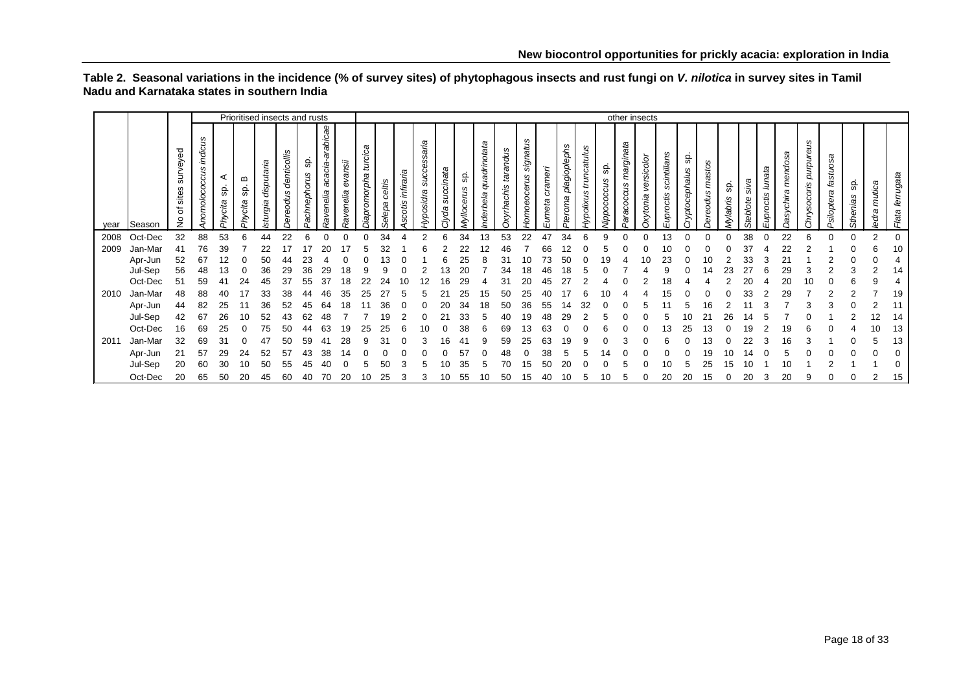<span id="page-17-0"></span>

|      |         |                                        |                                      |                       |                     | Prioritised insects and rusts |                        |                    |                                                 |                          |                             |                  |                        |                                  |                   |                   |                          |                       |                                       |                  |                         |                                      |                  |                               | other insects                  |                             |                      |                             |                 |                  |                     |                             |                                  |                        |                 |                 |                    |
|------|---------|----------------------------------------|--------------------------------------|-----------------------|---------------------|-------------------------------|------------------------|--------------------|-------------------------------------------------|--------------------------|-----------------------------|------------------|------------------------|----------------------------------|-------------------|-------------------|--------------------------|-----------------------|---------------------------------------|------------------|-------------------------|--------------------------------------|------------------|-------------------------------|--------------------------------|-----------------------------|----------------------|-----------------------------|-----------------|------------------|---------------------|-----------------------------|----------------------------------|------------------------|-----------------|-----------------|--------------------|
| year | Season  | surveyed<br>sites<br>৳<br>$\circ$<br>Ż | ဖ<br>indicu.<br>S<br>ococcu<br>nomol | ⋖<br>9b<br>cita<br>Áζ | മ<br>မ္တ<br>Phycita | disputaria<br>Isturgia        | denticollis<br>ereodus | မ္တ<br>achnephorus | icae<br>rabi<br>œ<br>acacia<br><b>Ravenelia</b> | isue,<br>ê<br>nelia<br>ø | œ<br>turcica<br>iapromorpha | celtis<br>Selepa | ñ,<br>infira<br>scotis | aria<br>cess.<br>SUC<br>yposidra | succinata<br>jуdа | င္တ<br>Myllocerus | quadrinotata<br>nderbela | tarandus<br>xyrhachis | signatus<br>cerus<br>ō<br><b>omoe</b> | crameri<br>umeta | plagioplephs<br>Pteroma | truncatulus<br>S<br><b>Hypolixus</b> | 9<br>lippococcus | marginata<br>ω<br>ccu.<br>aco | sicolor<br>yer<br>xytonia<br>C | S<br>scintillans<br>ίs<br>S | န္တ<br>ryptocephalus | <b>S</b><br>g<br>mas<br>dus | င္တ<br>lylabris | siva<br>Steblote | lunata<br>Euproctis | ndosa<br>ō<br>ε<br>asychira | purpureus<br>ocoris<br>inys<br>ت | fastuosa<br>Psiloptera | မ္တ<br>Sthenias | mutica<br>ledra | ferrugata<br>Flata |
| 2008 | Oct-Dec | 32                                     | 88                                   | 53                    | 6                   | 44                            | 22                     |                    |                                                 |                          |                             | 34               |                        | 2                                | հ                 | 34                | Э                        | 53                    | 22                                    | 47               | 34                      |                                      | 9                |                               |                                | 13                          | 0                    |                             |                 | 38               |                     | 22                          | 6                                |                        | $\Omega$        | 2               | $\Omega$           |
| 2009 | Jan-Mar | 41                                     | 76                                   | 39                    |                     |                               |                        |                    |                                                 |                          |                             |                  |                        |                                  |                   |                   |                          |                       |                                       |                  |                         |                                      |                  |                               |                                |                             |                      |                             |                 |                  |                     |                             |                                  |                        |                 | 6               | 10                 |
|      | Apr-Jun | 52                                     | 67                                   |                       |                     | 50                            |                        |                    |                                                 |                          |                             |                  |                        |                                  |                   |                   |                          |                       | 10                                    |                  |                         |                                      |                  |                               |                                | 23                          |                      | 10                          |                 | 33               |                     |                             |                                  |                        |                 |                 |                    |
|      | Jul-Sep | 56                                     | 48                                   |                       |                     | 36                            | 29                     | 36                 |                                                 |                          |                             |                  |                        |                                  |                   |                   |                          |                       | 18                                    |                  |                         |                                      |                  |                               |                                |                             |                      |                             |                 |                  |                     |                             |                                  |                        |                 |                 | 14                 |
|      | Oct-Dec | 51                                     | 59                                   |                       |                     |                               | 37                     | 55                 |                                                 | 18                       |                             |                  |                        |                                  |                   |                   |                          |                       | 20                                    |                  |                         |                                      |                  |                               |                                |                             |                      |                             |                 |                  |                     |                             |                                  |                        |                 |                 |                    |
| 2010 | Jan-Mar | 48                                     | 88                                   |                       |                     |                               | 38                     | 44                 |                                                 | 35                       | 25                          |                  |                        |                                  |                   |                   | c                        | 50                    | 25                                    |                  |                         |                                      |                  |                               |                                |                             |                      |                             |                 |                  |                     | 29                          |                                  |                        |                 |                 | 19                 |
|      | Apr-Jun | 44                                     | 82                                   |                       |                     | 36                            | 52                     | 45                 | 64                                              |                          |                             |                  |                        |                                  |                   | 34                |                          |                       | 36                                    | 55               |                         |                                      |                  |                               |                                |                             |                      |                             |                 |                  |                     |                             |                                  |                        |                 |                 |                    |
|      | Jul-Sep | 42                                     | 67                                   |                       | 10                  |                               |                        | 62                 |                                                 |                          |                             | 19               |                        |                                  |                   | 33                |                          |                       | 19                                    | 48               |                         |                                      |                  |                               |                                |                             |                      |                             |                 |                  |                     |                             |                                  |                        |                 |                 | 14                 |
|      | Oct-Dec | 16                                     | 69                                   |                       |                     |                               |                        |                    |                                                 | 19                       |                             |                  |                        |                                  |                   |                   |                          | 69                    | Ι3                                    |                  |                         |                                      |                  |                               |                                |                             |                      |                             |                 |                  |                     |                             |                                  |                        |                 |                 | 13                 |
| 2011 | Jan-Mar | 32                                     | 69                                   | 31                    |                     |                               |                        | 59                 |                                                 |                          |                             |                  |                        |                                  | ۱h                |                   |                          | 59                    | 25                                    | 63               |                         |                                      |                  |                               |                                |                             |                      |                             |                 |                  |                     |                             |                                  |                        |                 |                 | 13                 |
|      | Apr-Jun | 21                                     | 57                                   | 29                    | 24                  | 52                            | 57                     | 43                 | 38                                              |                          |                             |                  |                        |                                  |                   | 57                |                          |                       |                                       | 38               |                         |                                      |                  |                               |                                |                             |                      | 19                          |                 |                  |                     |                             |                                  |                        |                 |                 |                    |
|      | Jul-Sep | 20                                     | 60                                   | 30                    | 10                  | 50                            | 55                     | 45                 |                                                 |                          |                             | 50               |                        |                                  |                   | 35                |                          |                       | 15                                    | 50               |                         |                                      |                  |                               |                                |                             |                      | 25                          |                 |                  |                     |                             |                                  |                        |                 |                 |                    |
|      | Oct-Dec | 20                                     | 65                                   | 50                    | 20                  | 45                            | 60                     | 40                 | 70                                              | 20                       | 10                          | 25               | 3                      | 3                                | 10                | 55                |                          | 50                    | 15                                    | 40               | 10                      | Ð                                    | 10               |                               |                                | 20                          | 20                   | 15                          |                 | 20               | 3                   | 20                          | 9                                |                        |                 | 2               | 15                 |

#### **Table 2. Seasonal variations in the incidence (% of survey sites) of phytophagous insects and rust fungi on** *V. nilotica* **in survey sites in Tamil Nadu and Karnataka states in southern India**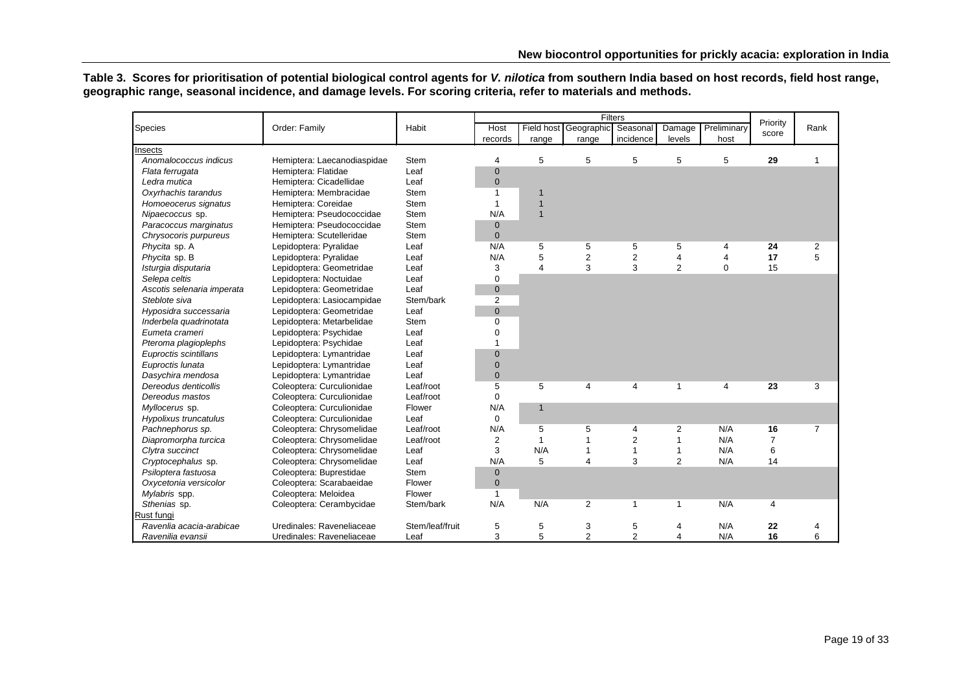**Table 3. Scores for prioritisation of potential biological control agents for** *V. nilotica* **from southern India based on host records, field host range, geographic range, seasonal incidence, and damage levels. For scoring criteria, refer to materials and methods.**

<span id="page-18-0"></span>

|                            |                             |                 |                |                |                       | Filters        |                |                |          |                |
|----------------------------|-----------------------------|-----------------|----------------|----------------|-----------------------|----------------|----------------|----------------|----------|----------------|
| Species                    | Order: Family               | Habit           | Host           |                | Field host Geographic | Seasonal       | Damage         | Preliminary    | Priority | Rank           |
|                            |                             |                 | records        | range          | range                 | incidence      | levels         | host           | score    |                |
| Insects                    |                             |                 |                |                |                       |                |                |                |          |                |
| Anomalococcus indicus      | Hemiptera: Laecanodiaspidae | Stem            | 4              | 5              | 5                     | 5              | 5              | 5              | 29       | 1              |
| Flata ferrugata            | Hemiptera: Flatidae         | Leaf            | $\mathbf 0$    |                |                       |                |                |                |          |                |
| Ledra mutica               | Hemiptera: Cicadellidae     | Leaf            | $\mathbf{0}$   |                |                       |                |                |                |          |                |
| Oxyrhachis tarandus        | Hemiptera: Membracidae      | <b>Stem</b>     | $\mathbf{1}$   | $\mathbf 1$    |                       |                |                |                |          |                |
| Homoeocerus signatus       | Hemiptera: Coreidae         | <b>Stem</b>     | 1              | 1              |                       |                |                |                |          |                |
| Nipaecoccus sp.            | Hemiptera: Pseudococcidae   | <b>Stem</b>     | N/A            | $\mathbf{1}$   |                       |                |                |                |          |                |
| Paracoccus marginatus      | Hemiptera: Pseudococcidae   | Stem            | $\mathbf 0$    |                |                       |                |                |                |          |                |
| Chrysocoris purpureus      | Hemiptera: Scutelleridae    | <b>Stem</b>     | $\mathbf{0}$   |                |                       |                |                |                |          |                |
| Phycita sp. A              | Lepidoptera: Pyralidae      | Leaf            | N/A            | 5              | 5                     | 5              | 5              | 4              | 24       | 2              |
| Phycita sp. B              | Lepidoptera: Pyralidae      | Leaf            | N/A            | 5              | $\overline{2}$        | $\overline{2}$ | 4              | $\overline{4}$ | 17       | 5              |
| Isturgia disputaria        | Lepidoptera: Geometridae    | Leaf            | 3              | 4              | 3                     | 3              | $\overline{2}$ | $\Omega$       | 15       |                |
| Selepa celtis              | Lepidoptera: Noctuidae      | Leaf            | $\mathbf 0$    |                |                       |                |                |                |          |                |
| Ascotis selenaria imperata | Lepidoptera: Geometridae    | Leaf            | $\mathbf 0$    |                |                       |                |                |                |          |                |
| Steblote siva              | Lepidoptera: Lasiocampidae  | Stem/bark       | $\overline{2}$ |                |                       |                |                |                |          |                |
| Hyposidra successaria      | Lepidoptera: Geometridae    | Leaf            | $\mathbf 0$    |                |                       |                |                |                |          |                |
| Inderbela quadrinotata     | Lepidoptera: Metarbelidae   | <b>Stem</b>     | $\mathbf 0$    |                |                       |                |                |                |          |                |
| Eumeta crameri             | Lepidoptera: Psychidae      | Leaf            | $\mathbf 0$    |                |                       |                |                |                |          |                |
| Pteroma plagioplephs       | Lepidoptera: Psychidae      | Leaf            | 1              |                |                       |                |                |                |          |                |
| Euproctis scintillans      | Lepidoptera: Lymantridae    | Leaf            | $\mathbf 0$    |                |                       |                |                |                |          |                |
| Euproctis lunata           | Lepidoptera: Lymantridae    | Leaf            | $\mathbf 0$    |                |                       |                |                |                |          |                |
| Dasychira mendosa          | Lepidoptera: Lymantridae    | Leaf            | $\pmb{0}$      |                |                       |                |                |                |          |                |
| Dereodus denticollis       | Coleoptera: Curculionidae   | Leaf/root       | 5              | 5              | 4                     | $\overline{4}$ | $\mathbf{1}$   | 4              | 23       | 3              |
| Dereodus mastos            | Coleoptera: Curculionidae   | Leaf/root       | $\mathbf 0$    |                |                       |                |                |                |          |                |
| Myllocerus sp.             | Coleoptera: Curculionidae   | Flower          | N/A            | $\mathbf{1}$   |                       |                |                |                |          |                |
| Hypolixus truncatulus      | Coleoptera: Curculionidae   | Leaf            | $\mathbf 0$    |                |                       |                |                |                |          |                |
| Pachnephorus sp.           | Coleoptera: Chrysomelidae   | Leaf/root       | N/A            | 5              | 5                     | 4              | 2              | N/A            | 16       | $\overline{7}$ |
| Diapromorpha turcica       | Coleoptera: Chrysomelidae   | Leaf/root       | 2              | $\overline{1}$ | $\mathbf{1}$          | $\overline{2}$ | $\mathbf{1}$   | N/A            | 7        |                |
| Clytra succinct            | Coleoptera: Chrysomelidae   | Leaf            | 3              | N/A            | $\overline{1}$        | $\overline{1}$ | 1              | N/A            | 6        |                |
| Cryptocephalus sp.         | Coleoptera: Chrysomelidae   | Leaf            | N/A            | 5              | 4                     | 3              | $\overline{2}$ | N/A            | 14       |                |
| Psiloptera fastuosa        | Coleoptera: Buprestidae     | <b>Stem</b>     | $\mathbf 0$    |                |                       |                |                |                |          |                |
| Oxycetonia versicolor      | Coleoptera: Scarabaeidae    | Flower          | $\mathbf 0$    |                |                       |                |                |                |          |                |
| Mylabris spp.              | Coleoptera: Meloidea        | Flower          | $\mathbf{1}$   |                |                       |                |                |                |          |                |
| Sthenias sp.               | Coleoptera: Cerambycidae    | Stem/bark       | N/A            | N/A            | 2                     | $\mathbf{1}$   | $\mathbf{1}$   | N/A            | 4        |                |
| Rust fungi                 |                             |                 |                |                |                       |                |                |                |          |                |
| Ravenlia acacia-arabicae   | Uredinales: Raveneliaceae   | Stem/leaf/fruit | 5              | 5              | 3                     | 5              | 4              | N/A            | 22       | 4              |
| Ravenilia evansii          | Uredinales: Raveneliaceae   | Leaf            | 3              | 5              | $\overline{2}$        | $\overline{2}$ | 4              | N/A            | 16       | 6              |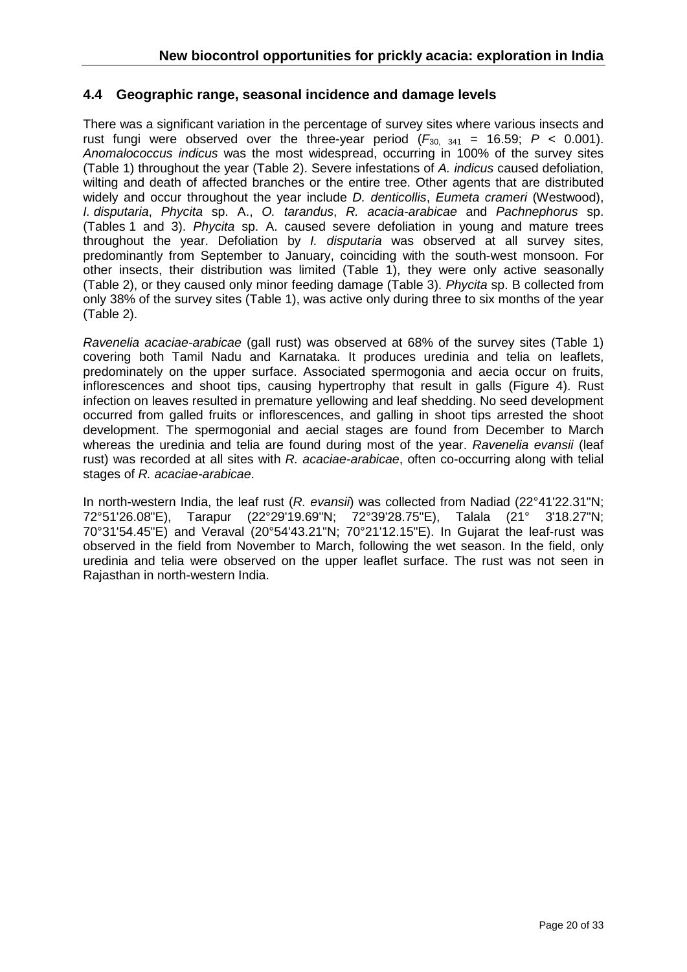## <span id="page-19-0"></span>**4.4 Geographic range, seasonal incidence and damage levels**

There was a significant variation in the percentage of survey sites where various insects and rust fungi were observed over the three-year period  $(F_{30, 341} = 16.59; P < 0.001)$ . *Anomalococcus indicus* was the most widespread, occurring in 100% of the survey sites (Table 1) throughout the year (Table 2). Severe infestations of *A. indicus* caused defoliation, wilting and death of affected branches or the entire tree. Other agents that are distributed widely and occur throughout the year include *D. denticollis*, *Eumeta crameri* (Westwood), *I. disputaria*, *Phycita* sp. A., *O. tarandus*, *R. acacia-arabicae* and *Pachnephorus* sp. (Tables 1 and 3). *Phycita* sp. A. caused severe defoliation in young and mature trees throughout the year. Defoliation by *I. disputaria* was observed at all survey sites, predominantly from September to January, coinciding with the south-west monsoon. For other insects, their distribution was limited (Table 1), they were only active seasonally (Table 2), or they caused only minor feeding damage (Table 3). *Phycita* sp. B collected from only 38% of the survey sites (Table 1), was active only during three to six months of the year (Table 2).

*Ravenelia acaciae-arabicae* (gall rust) was observed at 68% of the survey sites (Table 1) covering both Tamil Nadu and Karnataka. It produces uredinia and telia on leaflets, predominately on the upper surface. Associated spermogonia and aecia occur on fruits, inflorescences and shoot tips, causing hypertrophy that result in galls (Figure 4). Rust infection on leaves resulted in premature yellowing and leaf shedding. No seed development occurred from galled fruits or inflorescences, and galling in shoot tips arrested the shoot development. The spermogonial and aecial stages are found from December to March whereas the uredinia and telia are found during most of the year. *Ravenelia evansii* (leaf rust) was recorded at all sites with *R. acaciae-arabicae*, often co-occurring along with telial stages of *R. acaciae-arabicae*.

In north-western India, the leaf rust (*R. evansii*) was collected from Nadiad (22°41'22.31"N; 72°51'26.08"E), Tarapur (22°29'19.69"N; 72°39'28.75"E), Talala (21° 3'18.27"N; 70°31'54.45"E) and Veraval (20°54'43.21"N; 70°21'12.15"E). In Gujarat the leaf-rust was observed in the field from November to March, following the wet season. In the field, only uredinia and telia were observed on the upper leaflet surface. The rust was not seen in Rajasthan in north-western India.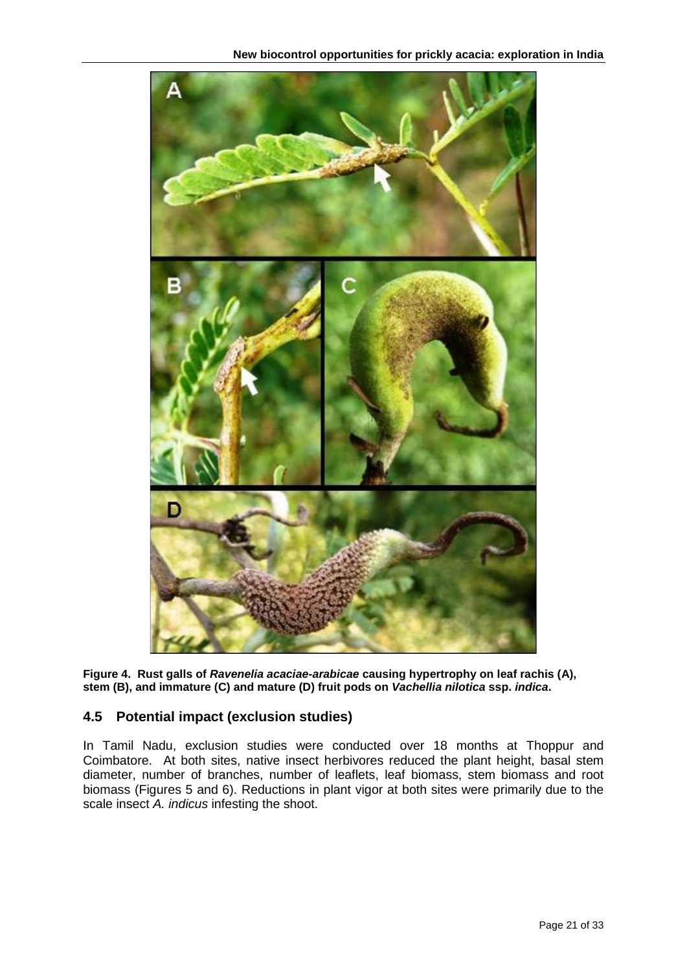

<span id="page-20-1"></span>**Figure 4. Rust galls of** *Ravenelia acaciae-arabicae* **causing hypertrophy on leaf rachis (A), stem (B), and immature (C) and mature (D) fruit pods on** *Vachellia nilotica* **ssp.** *indica***.**

# <span id="page-20-0"></span>**4.5 Potential impact (exclusion studies)**

In Tamil Nadu, exclusion studies were conducted over 18 months at Thoppur and Coimbatore. At both sites, native insect herbivores reduced the plant height, basal stem diameter, number of branches, number of leaflets, leaf biomass, stem biomass and root biomass (Figures 5 and 6). Reductions in plant vigor at both sites were primarily due to the scale insect *A. indicus* infesting the shoot.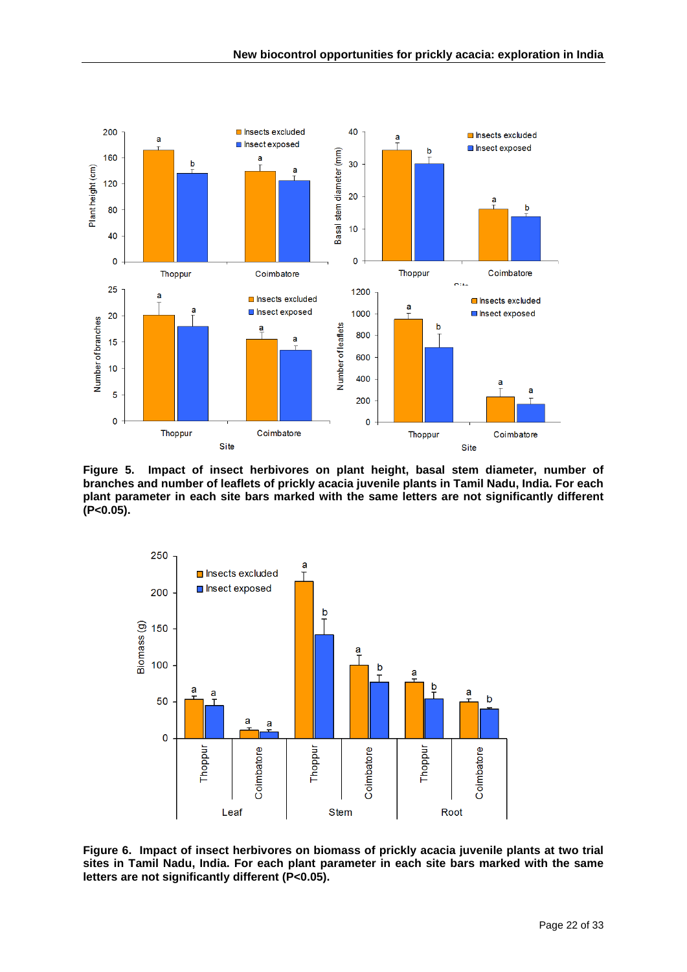

<span id="page-21-0"></span>**Figure 5. Impact of insect herbivores on plant height, basal stem diameter, number of branches and number of leaflets of prickly acacia juvenile plants in Tamil Nadu, India. For each plant parameter in each site bars marked with the same letters are not significantly different (P<0.05).**



<span id="page-21-1"></span>**Figure 6. Impact of insect herbivores on biomass of prickly acacia juvenile plants at two trial sites in Tamil Nadu, India. For each plant parameter in each site bars marked with the same letters are not significantly different (P<0.05).**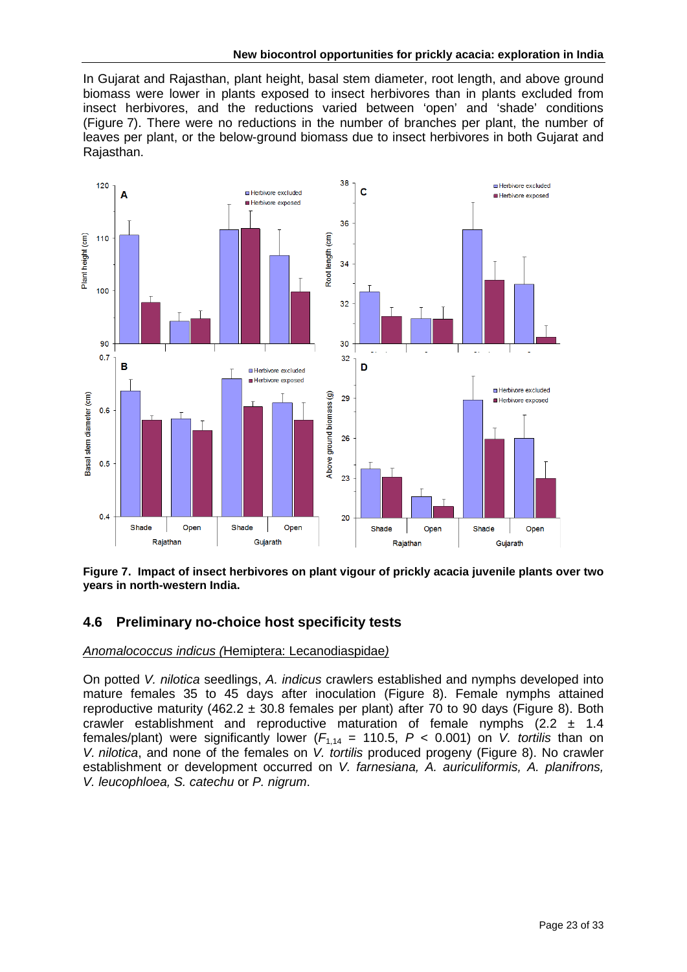In Gujarat and Rajasthan, plant height, basal stem diameter, root length, and above ground biomass were lower in plants exposed to insect herbivores than in plants excluded from insect herbivores, and the reductions varied between 'open' and 'shade' conditions (Figure 7). There were no reductions in the number of branches per plant, the number of leaves per plant, or the below-ground biomass due to insect herbivores in both Gujarat and Rajasthan.



<span id="page-22-1"></span>**Figure 7. Impact of insect herbivores on plant vigour of prickly acacia juvenile plants over two years in north-western India.**

## <span id="page-22-0"></span>**4.6 Preliminary no-choice host specificity tests**

## *Anomalococcus indicus (*Hemiptera: Lecanodiaspidae*)*

On potted *V. nilotica* seedlings, *A. indicus* crawlers established and nymphs developed into mature females 35 to 45 days after inoculation (Figure 8). Female nymphs attained reproductive maturity (462.2  $\pm$  30.8 females per plant) after 70 to 90 days (Figure 8). Both crawler establishment and reproductive maturation of female nymphs  $(2.2 \pm 1.4)$ females/plant) were significantly lower  $(F_{1,14} = 110.5, P < 0.001)$  on *V. tortilis* than on *V. nilotica*, and none of the females on *V. tortilis* produced progeny (Figure 8). No crawler establishment or development occurred on *V. farnesiana, A. auriculiformis, A. planifrons, V. leucophloea, S. catechu* or *P. nigrum*.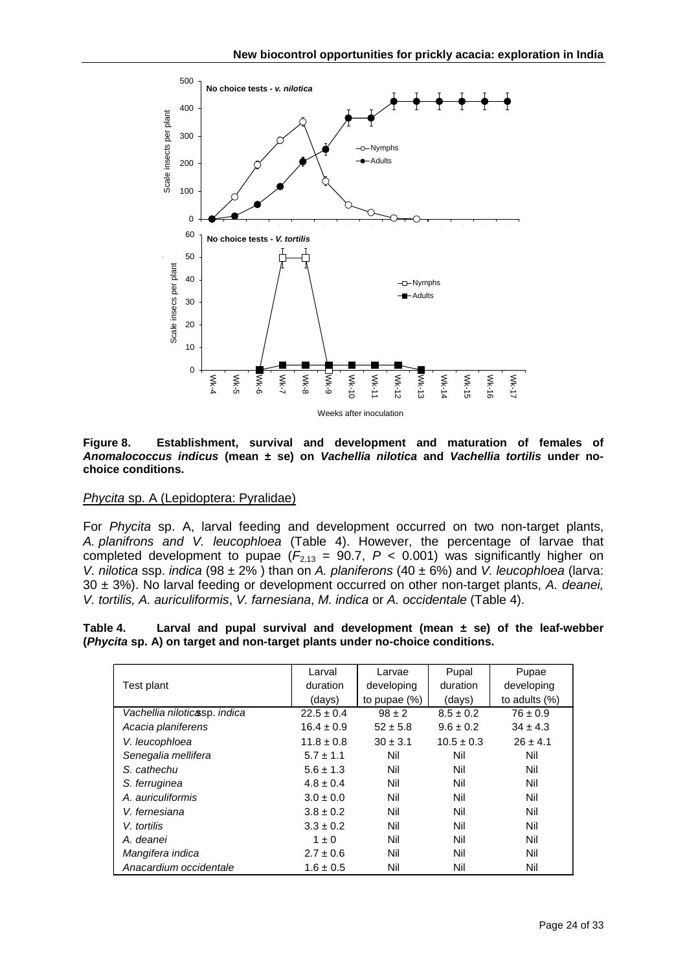<span id="page-23-1"></span>

**Figure 8. Establishment, survival and development and maturation of females of**  *Anomalococcus indicus* **(mean ± se) on** *Vachellia nilotica* **and** *Vachellia tortilis* **under nochoice conditions.**

#### *Phycita* sp. A (Lepidoptera: Pyralidae)

For *Phycita* sp. A, larval feeding and development occurred on two non-target plants, *A. planifrons and V. leucophloea* (Table 4). However, the percentage of larvae that completed development to pupae  $(F_{2,13} = 90.7, P < 0.001)$  was significantly higher on *V. nilotica* ssp. *indica* (98 ± 2% ) than on *A. planiferons* (40 ± 6%) and *V. leucophloea* (larva: 30 ± 3%). No larval feeding or development occurred on other non-target plants, *A. deanei, V. tortilis, A. auriculiformis*, *V. farnesiana*, *M. indica* or *A. occidentale* (Table 4).

<span id="page-23-0"></span>**Table 4. Larval and pupal survival and development (mean ± se) of the leaf-webber (***Phycita* **sp. A) on target and non-target plants under no-choice conditions.**

|                              | Larval         | Larvae          | Pupal          | Pupae           |
|------------------------------|----------------|-----------------|----------------|-----------------|
| Test plant                   | duration       | developing      | duration       | developing      |
|                              | (days)         | to pupae $(\%)$ | (days)         | to adults $(%)$ |
| Vachellia niloticasp. indica | $22.5 \pm 0.4$ | $98 \pm 2$      | $8.5 \pm 0.2$  | $76 \pm 0.9$    |
| Acacia planiferens           | $16.4 \pm 0.9$ | $52 \pm 5.8$    | $9.6 \pm 0.2$  | $34 \pm 4.3$    |
| V. leucophloea               | $11.8 \pm 0.8$ | $30 \pm 3.1$    | $10.5 \pm 0.3$ | $26 \pm 4.1$    |
| Senegalia mellifera          | $5.7 \pm 1.1$  | Nil             | Nil            | Nil             |
| S. cathechu                  | $5.6 \pm 1.3$  | Nil             | Nil            | Nil             |
| S. ferruginea                | $4.8 \pm 0.4$  | Nil             | Nil            | Nil             |
| A. auriculiformis            | $3.0 \pm 0.0$  | Nil             | Nil            | Nil             |
| V. fernesiana                | $3.8 \pm 0.2$  | Nil             | Nil            | Nil             |
| V. tortilis                  | $3.3 \pm 0.2$  | Nil             | Nil            | Nil             |
| A. deanei                    | $1 \pm 0$      | Nil             | Nil            | Nil             |
| Mangifera indica             | $2.7 \pm 0.6$  | Nil             | Nil            | Nil             |
| Anacardium occidentale       | $1.6 \pm 0.5$  | Nil             | Nil            | Nil             |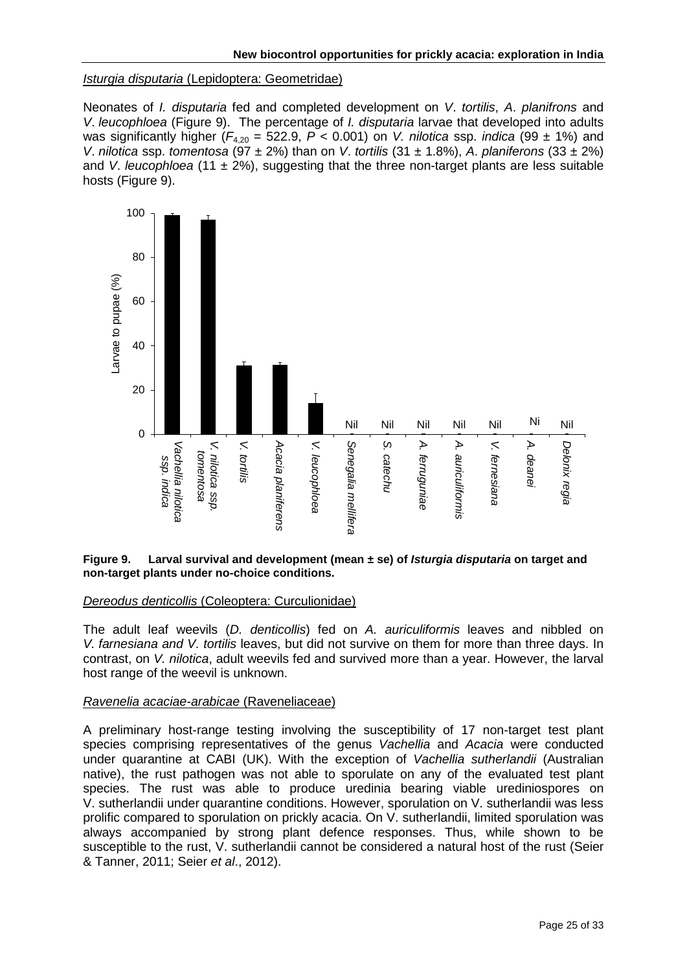#### *Isturgia disputaria* (Lepidoptera: Geometridae)

Neonates of *I. disputaria* fed and completed development on *V*. *tortilis*, *A*. *planifrons* and *V*. *leucophloea* (Figure 9). The percentage of *I. disputaria* larvae that developed into adults was significantly higher  $(F_{4,20} = 522.9, P < 0.001)$  on *V. nilotica* ssp. *indica* (99 ± 1%) and *V*. *nilotica* ssp. *tomentosa* (97 ± 2%) than on *V*. *tortilis* (31 ± 1.8%), *A*. *planiferons* (33 ± 2%) and *V. leucophloea* (11  $\pm$  2%), suggesting that the three non-target plants are less suitable hosts (Figure 9).



#### <span id="page-24-0"></span>**Figure 9. Larval survival and development (mean ± se) of** *Isturgia disputaria* **on target and non-target plants under no-choice conditions.**

#### *Dereodus denticollis* (Coleoptera: Curculionidae)

The adult leaf weevils (*D. denticollis*) fed on *A. auriculiformis* leaves and nibbled on *V. farnesiana and V. tortilis* leaves, but did not survive on them for more than three days. In contrast, on *V. nilotica*, adult weevils fed and survived more than a year. However, the larval host range of the weevil is unknown.

#### *Ravenelia acaciae-arabicae* (Raveneliaceae)

A preliminary host-range testing involving the susceptibility of 17 non-target test plant species comprising representatives of the genus *Vachellia* and *Acacia* were conducted under quarantine at CABI (UK). With the exception of *Vachellia sutherlandii* (Australian native), the rust pathogen was not able to sporulate on any of the evaluated test plant species. The rust was able to produce uredinia bearing viable urediniospores on V. sutherlandii under quarantine conditions. However, sporulation on V. sutherlandii was less prolific compared to sporulation on prickly acacia. On V. sutherlandii, limited sporulation was always accompanied by strong plant defence responses. Thus, while shown to be susceptible to the rust, V. sutherlandii cannot be considered a natural host of the rust (Seier & Tanner, 2011; Seier *et al*., 2012).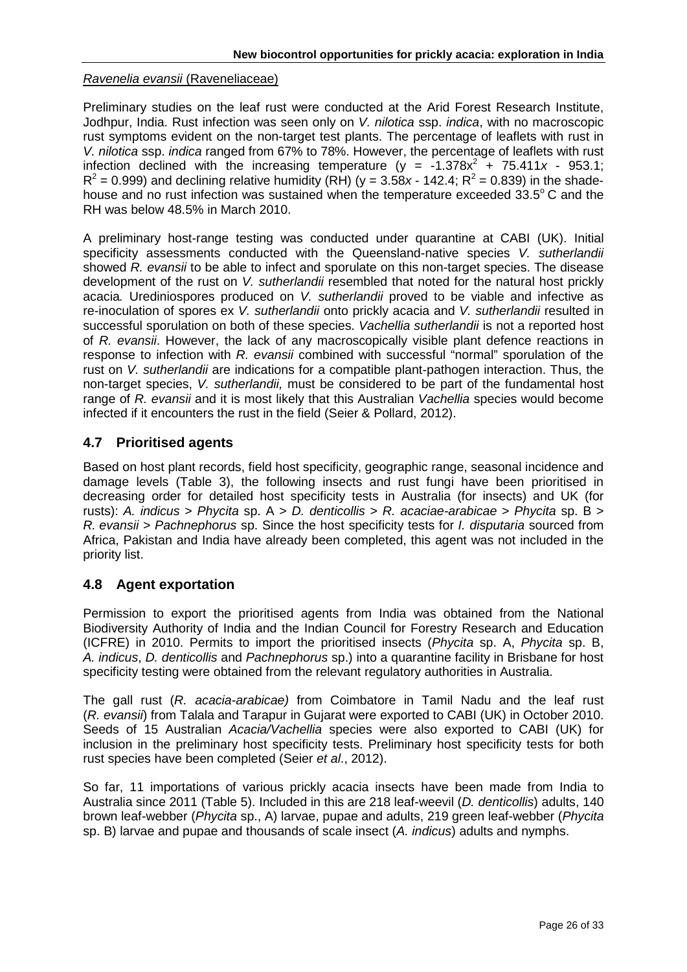#### *Ravenelia evansii* (Raveneliaceae)

Preliminary studies on the leaf rust were conducted at the Arid Forest Research Institute, Jodhpur, India. Rust infection was seen only on *V. nilotica* ssp. *indica*, with no macroscopic rust symptoms evident on the non-target test plants. The percentage of leaflets with rust in *V. nilotica* ssp. *indica* ranged from 67% to 78%. However, the percentage of leaflets with rust infection declined with the increasing temperature ( $y = -1.378x^2 + 75.411x - 953.1$ ;  $R^2$  = 0.999) and declining relative humidity (RH) ( $y = 3.58x - 142.4$ ;  $R^2 = 0.839$ ) in the shadehouse and no rust infection was sustained when the temperature exceeded 33.5°C and the RH was below 48.5% in March 2010.

A preliminary host-range testing was conducted under quarantine at CABI (UK). Initial specificity assessments conducted with the Queensland-native species *V. sutherlandii*  showed *R. evansii* to be able to infect and sporulate on this non-target species. The disease development of the rust on *V. sutherlandii* resembled that noted for the natural host prickly acacia*.* Urediniospores produced on *V. sutherlandii* proved to be viable and infective as re-inoculation of spores ex *V. sutherlandii* onto prickly acacia and *V. sutherlandii* resulted in successful sporulation on both of these species. *Vachellia sutherlandii* is not a reported host of *R. evansii*. However, the lack of any macroscopically visible plant defence reactions in response to infection with *R. evansii* combined with successful "normal" sporulation of the rust on *V. sutherlandii* are indications for a compatible plant-pathogen interaction. Thus, the non-target species, *V. sutherlandii,* must be considered to be part of the fundamental host range of *R. evansii* and it is most likely that this Australian *Vachellia* species would become infected if it encounters the rust in the field (Seier & Pollard, 2012).

## <span id="page-25-0"></span>**4.7 Prioritised agents**

Based on host plant records, field host specificity, geographic range, seasonal incidence and damage levels (Table 3), the following insects and rust fungi have been prioritised in decreasing order for detailed host specificity tests in Australia (for insects) and UK (for rusts): *A. indicus* > *Phycita* sp. A > *D. denticollis* > *R. acaciae-arabicae* > *Phycita* sp. B > *R. evansii* > *Pachnephorus* sp. Since the host specificity tests for *I. disputaria* sourced from Africa, Pakistan and India have already been completed, this agent was not included in the priority list.

## <span id="page-25-1"></span>**4.8 Agent exportation**

Permission to export the prioritised agents from India was obtained from the National Biodiversity Authority of India and the Indian Council for Forestry Research and Education (ICFRE) in 2010. Permits to import the prioritised insects (*Phycita* sp. A, *Phycita* sp. B, *A. indicus*, *D. denticollis* and *Pachnephorus* sp.) into a quarantine facility in Brisbane for host specificity testing were obtained from the relevant regulatory authorities in Australia.

The gall rust (*R. acacia-arabicae)* from Coimbatore in Tamil Nadu and the leaf rust (*R. evansii*) from Talala and Tarapur in Gujarat were exported to CABI (UK) in October 2010. Seeds of 15 Australian *Acacia/Vachellia* species were also exported to CABI (UK) for inclusion in the preliminary host specificity tests. Preliminary host specificity tests for both rust species have been completed (Seier *et al*., 2012).

So far, 11 importations of various prickly acacia insects have been made from India to Australia since 2011 (Table 5). Included in this are 218 leaf-weevil (*D. denticollis*) adults, 140 brown leaf-webber (*Phycita* sp., A) larvae, pupae and adults, 219 green leaf-webber (*Phycita* sp. B) larvae and pupae and thousands of scale insect (*A. indicus*) adults and nymphs.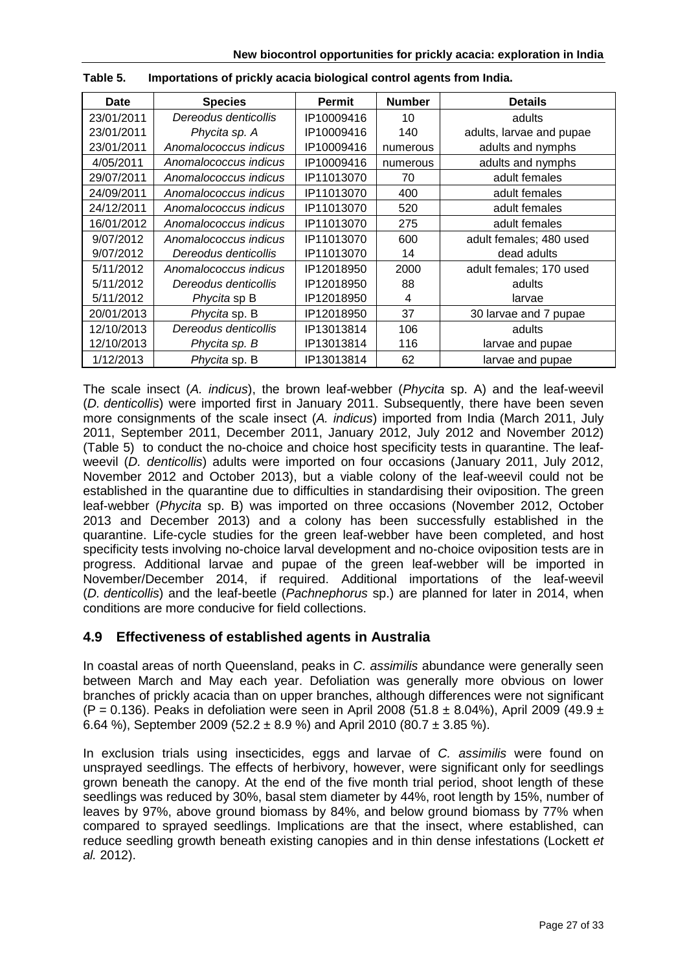| Date       | <b>Species</b>        | Permit     | <b>Number</b> | <b>Details</b>           |
|------------|-----------------------|------------|---------------|--------------------------|
| 23/01/2011 | Dereodus denticollis  | IP10009416 | 10            | adults                   |
| 23/01/2011 | Phycita sp. A         | IP10009416 | 140           | adults, larvae and pupae |
| 23/01/2011 | Anomalococcus indicus | IP10009416 | numerous      | adults and nymphs        |
| 4/05/2011  | Anomalococcus indicus | IP10009416 | numerous      | adults and nymphs        |
| 29/07/2011 | Anomalococcus indicus | IP11013070 | 70            | adult females            |
| 24/09/2011 | Anomalococcus indicus | IP11013070 | 400           | adult females            |
| 24/12/2011 | Anomalococcus indicus | IP11013070 | 520           | adult females            |
| 16/01/2012 | Anomalococcus indicus | IP11013070 | 275           | adult females            |
| 9/07/2012  | Anomalococcus indicus | IP11013070 | 600           | adult females; 480 used  |
| 9/07/2012  | Dereodus denticollis  | IP11013070 | 14            | dead adults              |
| 5/11/2012  | Anomalococcus indicus | IP12018950 | 2000          | adult females; 170 used  |
| 5/11/2012  | Dereodus denticollis  | IP12018950 | 88            | adults                   |
| 5/11/2012  | <i>Phycita</i> sp B   | IP12018950 | 4             | larvae                   |
| 20/01/2013 | Phycita sp. B         | IP12018950 | 37            | 30 larvae and 7 pupae    |
| 12/10/2013 | Dereodus denticollis  | IP13013814 | 106           | adults                   |
| 12/10/2013 | Phycita sp. B         | IP13013814 | 116           | larvae and pupae         |
| 1/12/2013  | Phycita sp. B         | IP13013814 | 62            | larvae and pupae         |

| Table 5. |  |  | Importations of prickly acacia biological control agents from India. |  |  |
|----------|--|--|----------------------------------------------------------------------|--|--|
|----------|--|--|----------------------------------------------------------------------|--|--|

The scale insect (*A. indicus*), the brown leaf-webber (*Phycita* sp. A) and the leaf-weevil (*D. denticollis*) were imported first in January 2011. Subsequently, there have been seven more consignments of the scale insect (*A. indicus*) imported from India (March 2011, July 2011, September 2011, December 2011, January 2012, July 2012 and November 2012) (Table 5) to conduct the no-choice and choice host specificity tests in quarantine. The leafweevil (*D. denticollis*) adults were imported on four occasions (January 2011, July 2012, November 2012 and October 2013), but a viable colony of the leaf-weevil could not be established in the quarantine due to difficulties in standardising their oviposition. The green leaf-webber (*Phycita* sp. B) was imported on three occasions (November 2012, October 2013 and December 2013) and a colony has been successfully established in the quarantine. Life-cycle studies for the green leaf-webber have been completed, and host specificity tests involving no-choice larval development and no-choice oviposition tests are in progress. Additional larvae and pupae of the green leaf-webber will be imported in November/December 2014, if required. Additional importations of the leaf-weevil (*D. denticollis*) and the leaf-beetle (*Pachnephorus* sp.) are planned for later in 2014, when conditions are more conducive for field collections.

## **4.9 Effectiveness of established agents in Australia**

In coastal areas of north Queensland, peaks in *C. assimilis* abundance were generally seen between March and May each year. Defoliation was generally more obvious on lower branches of prickly acacia than on upper branches, although differences were not significant (P = 0.136). Peaks in defoliation were seen in April 2008 (51.8  $\pm$  8.04%), April 2009 (49.9  $\pm$ 6.64 %), September 2009 (52.2  $\pm$  8.9 %) and April 2010 (80.7  $\pm$  3.85 %).

In exclusion trials using insecticides, eggs and larvae of *C. assimilis* were found on unsprayed seedlings. The effects of herbivory, however, were significant only for seedlings grown beneath the canopy. At the end of the five month trial period, shoot length of these seedlings was reduced by 30%, basal stem diameter by 44%, root length by 15%, number of leaves by 97%, above ground biomass by 84%, and below ground biomass by 77% when compared to sprayed seedlings. Implications are that the insect, where established, can reduce seedling growth beneath existing canopies and in thin dense infestations (Lockett *et al.* 2012).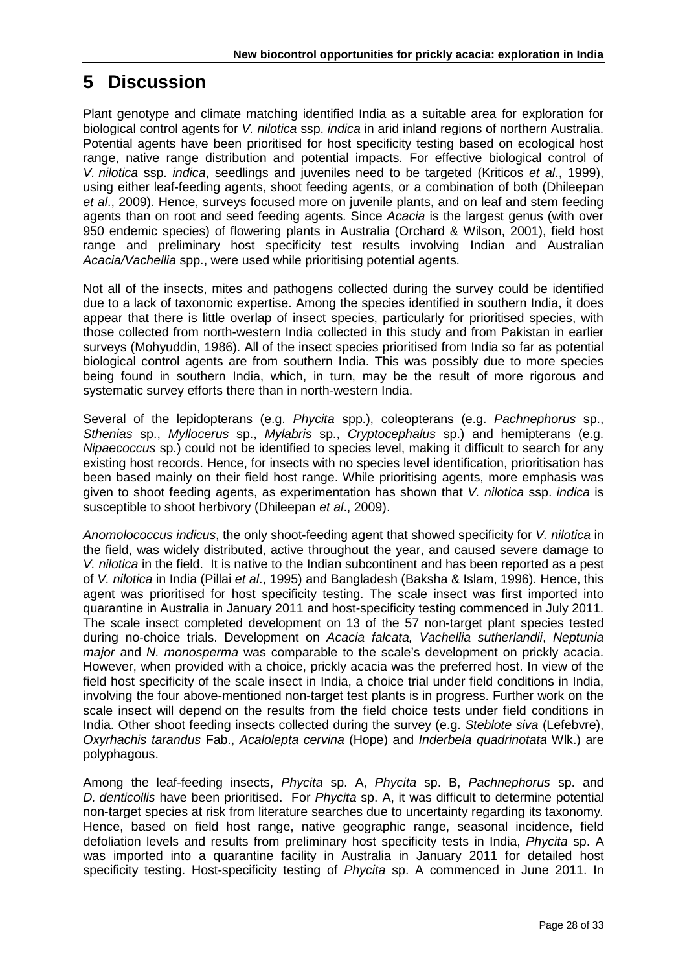# <span id="page-27-0"></span>**5 Discussion**

Plant genotype and climate matching identified India as a suitable area for exploration for biological control agents for *V. nilotica* ssp. *indica* in arid inland regions of northern Australia. Potential agents have been prioritised for host specificity testing based on ecological host range, native range distribution and potential impacts. For effective biological control of *V. nilotica* ssp. *indica*, seedlings and juveniles need to be targeted (Kriticos *et al.*, 1999), using either leaf-feeding agents, shoot feeding agents, or a combination of both (Dhileepan *et al*., 2009). Hence, surveys focused more on juvenile plants, and on leaf and stem feeding agents than on root and seed feeding agents. Since *Acacia* is the largest genus (with over 950 endemic species) of flowering plants in Australia (Orchard & Wilson, 2001), field host range and preliminary host specificity test results involving Indian and Australian *Acacia/Vachellia* spp., were used while prioritising potential agents.

Not all of the insects, mites and pathogens collected during the survey could be identified due to a lack of taxonomic expertise. Among the species identified in southern India, it does appear that there is little overlap of insect species, particularly for prioritised species, with those collected from north-western India collected in this study and from Pakistan in earlier surveys (Mohyuddin, 1986). All of the insect species prioritised from India so far as potential biological control agents are from southern India. This was possibly due to more species being found in southern India, which, in turn, may be the result of more rigorous and systematic survey efforts there than in north-western India.

Several of the lepidopterans (e.g. *Phycita* spp.), coleopterans (e.g. *Pachnephorus* sp., *Sthenias* sp., *Myllocerus* sp., *Mylabris* sp., *Cryptocephalus* sp.) and hemipterans (e.g. *Nipaecoccus* sp.) could not be identified to species level, making it difficult to search for any existing host records. Hence, for insects with no species level identification, prioritisation has been based mainly on their field host range. While prioritising agents, more emphasis was given to shoot feeding agents, as experimentation has shown that *V. nilotica* ssp. *indica* is susceptible to shoot herbivory (Dhileepan *et al*., 2009).

*Anomolococcus indicus*, the only shoot-feeding agent that showed specificity for *V. nilotica* in the field, was widely distributed, active throughout the year, and caused severe damage to *V. nilotica* in the field. It is native to the Indian subcontinent and has been reported as a pest of *V. nilotica* in India (Pillai *et al*., 1995) and Bangladesh (Baksha & Islam, 1996). Hence, this agent was prioritised for host specificity testing. The scale insect was first imported into quarantine in Australia in January 2011 and host-specificity testing commenced in July 2011. The scale insect completed development on 13 of the 57 non-target plant species tested during no-choice trials. Development on *Acacia falcata, Vachellia sutherlandii*, *Neptunia major* and *N. monosperma* was comparable to the scale's development on prickly acacia. However, when provided with a choice, prickly acacia was the preferred host. In view of the field host specificity of the scale insect in India, a choice trial under field conditions in India, involving the four above-mentioned non-target test plants is in progress. Further work on the scale insect will depend on the results from the field choice tests under field conditions in India. Other shoot feeding insects collected during the survey (e.g. *Steblote siva* (Lefebvre), *Oxyrhachis tarandus* Fab., *Acalolepta cervina* (Hope) and *Inderbela quadrinotata* Wlk.) are polyphagous.

Among the leaf-feeding insects, *Phycita* sp. A, *Phycita* sp. B, *Pachnephorus* sp. and *D. denticollis* have been prioritised. For *Phycita* sp. A, it was difficult to determine potential non-target species at risk from literature searches due to uncertainty regarding its taxonomy*.* Hence, based on field host range, native geographic range, seasonal incidence, field defoliation levels and results from preliminary host specificity tests in India, *Phycita* sp. A was imported into a quarantine facility in Australia in January 2011 for detailed host specificity testing. Host-specificity testing of *Phycita* sp. A commenced in June 2011. In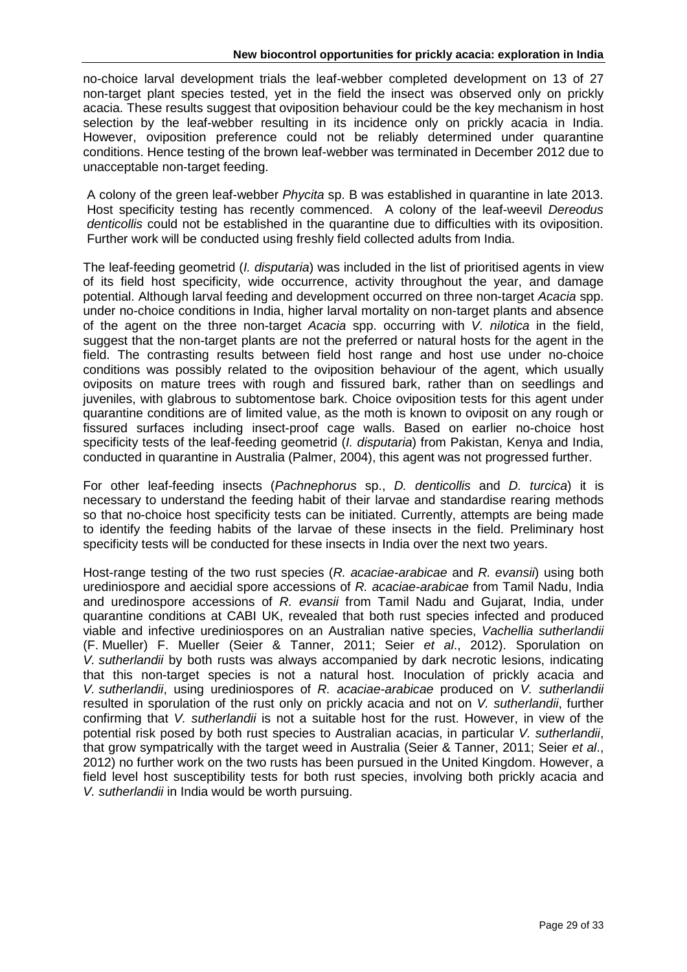no-choice larval development trials the leaf-webber completed development on 13 of 27 non-target plant species tested, yet in the field the insect was observed only on prickly acacia. These results suggest that oviposition behaviour could be the key mechanism in host selection by the leaf-webber resulting in its incidence only on prickly acacia in India. However, oviposition preference could not be reliably determined under quarantine conditions. Hence testing of the brown leaf-webber was terminated in December 2012 due to unacceptable non-target feeding.

A colony of the green leaf-webber *Phycita* sp. B was established in quarantine in late 2013. Host specificity testing has recently commenced. A colony of the leaf-weevil *Dereodus denticollis* could not be established in the quarantine due to difficulties with its oviposition. Further work will be conducted using freshly field collected adults from India.

The leaf-feeding geometrid (*I. disputaria*) was included in the list of prioritised agents in view of its field host specificity, wide occurrence, activity throughout the year, and damage potential. Although larval feeding and development occurred on three non-target *Acacia* spp. under no-choice conditions in India, higher larval mortality on non-target plants and absence of the agent on the three non-target *Acacia* spp. occurring with *V. nilotica* in the field, suggest that the non-target plants are not the preferred or natural hosts for the agent in the field. The contrasting results between field host range and host use under no-choice conditions was possibly related to the oviposition behaviour of the agent, which usually oviposits on mature trees with rough and fissured bark, rather than on seedlings and juveniles, with glabrous to subtomentose bark. Choice oviposition tests for this agent under quarantine conditions are of limited value, as the moth is known to oviposit on any rough or fissured surfaces including insect-proof cage walls. Based on earlier no-choice host specificity tests of the leaf-feeding geometrid (*I. disputaria*) from Pakistan, Kenya and India, conducted in quarantine in Australia (Palmer, 2004), this agent was not progressed further.

For other leaf-feeding insects (*Pachnephorus* sp., *D. denticollis* and *D. turcica*) it is necessary to understand the feeding habit of their larvae and standardise rearing methods so that no-choice host specificity tests can be initiated. Currently, attempts are being made to identify the feeding habits of the larvae of these insects in the field. Preliminary host specificity tests will be conducted for these insects in India over the next two years.

Host-range testing of the two rust species (*R. acaciae-arabicae* and *R. evansii*) using both urediniospore and aecidial spore accessions of *R. acaciae-arabicae* from Tamil Nadu, India and uredinospore accessions of *R. evansii* from Tamil Nadu and Gujarat, India, under quarantine conditions at CABI UK, revealed that both rust species infected and produced viable and infective urediniospores on an Australian native species, *Vachellia sutherlandii*  (F. Mueller) F. Mueller (Seier & Tanner, 2011; Seier *et al*., 2012). Sporulation on *V. sutherlandii* by both rusts was always accompanied by dark necrotic lesions, indicating that this non-target species is not a natural host. Inoculation of prickly acacia and *V. sutherlandii*, using urediniospores of *R. acaciae-arabicae* produced on *V. sutherlandii* resulted in sporulation of the rust only on prickly acacia and not on *V. sutherlandii*, further confirming that *V. sutherlandii* is not a suitable host for the rust. However, in view of the potential risk posed by both rust species to Australian acacias, in particular *V. sutherlandii*, that grow sympatrically with the target weed in Australia (Seier & Tanner, 2011; Seier *et al*., 2012) no further work on the two rusts has been pursued in the United Kingdom. However, a field level host susceptibility tests for both rust species, involving both prickly acacia and *V. sutherlandii* in India would be worth pursuing.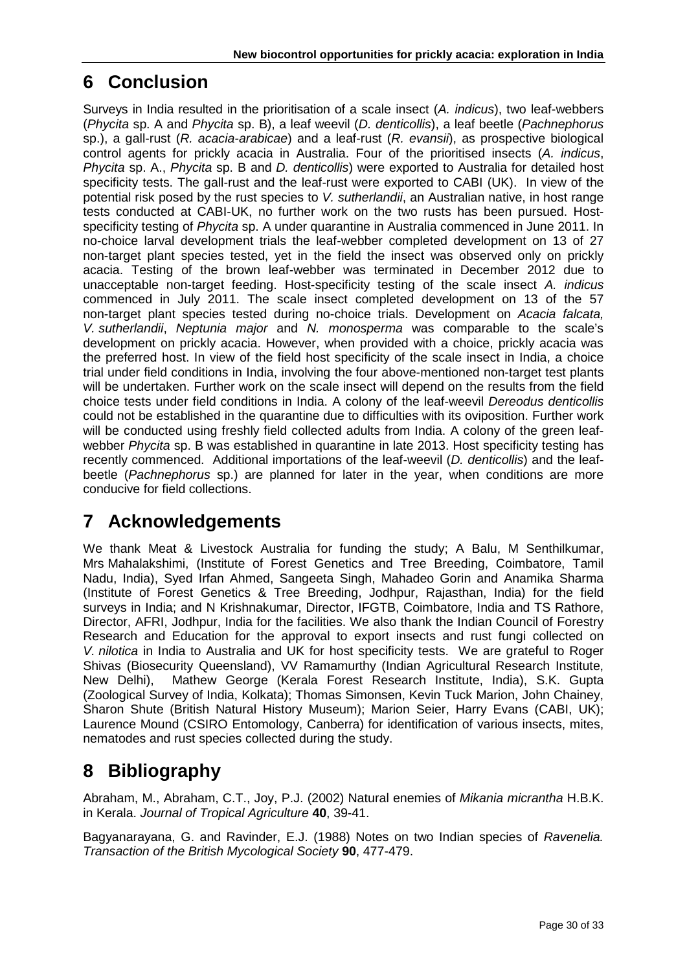# **6 Conclusion**

Surveys in India resulted in the prioritisation of a scale insect (*A. indicus*), two leaf-webbers (*Phycita* sp. A and *Phycita* sp. B), a leaf weevil (*D. denticollis*), a leaf beetle (*Pachnephorus* sp.), a gall-rust (*R. acacia-arabicae*) and a leaf-rust (*R. evansii*), as prospective biological control agents for prickly acacia in Australia. Four of the prioritised insects (*A. indicus*, *Phycita* sp. A., *Phycita* sp. B and *D. denticollis*) were exported to Australia for detailed host specificity tests. The gall-rust and the leaf-rust were exported to CABI (UK). In view of the potential risk posed by the rust species to *V. sutherlandii*, an Australian native, in host range tests conducted at CABI-UK, no further work on the two rusts has been pursued. Hostspecificity testing of *Phycita* sp. A under quarantine in Australia commenced in June 2011. In no-choice larval development trials the leaf-webber completed development on 13 of 27 non-target plant species tested, yet in the field the insect was observed only on prickly acacia. Testing of the brown leaf-webber was terminated in December 2012 due to unacceptable non-target feeding. Host-specificity testing of the scale insect *A. indicus* commenced in July 2011. The scale insect completed development on 13 of the 57 non-target plant species tested during no-choice trials. Development on *Acacia falcata, V. sutherlandii*, *Neptunia major* and *N. monosperma* was comparable to the scale's development on prickly acacia. However, when provided with a choice, prickly acacia was the preferred host. In view of the field host specificity of the scale insect in India, a choice trial under field conditions in India, involving the four above-mentioned non-target test plants will be undertaken. Further work on the scale insect will depend on the results from the field choice tests under field conditions in India. A colony of the leaf-weevil *Dereodus denticollis* could not be established in the quarantine due to difficulties with its oviposition. Further work will be conducted using freshly field collected adults from India. A colony of the green leafwebber *Phycita* sp. B was established in quarantine in late 2013. Host specificity testing has recently commenced. Additional importations of the leaf-weevil (*D. denticollis*) and the leafbeetle (*Pachnephorus* sp.) are planned for later in the year, when conditions are more conducive for field collections.

# <span id="page-29-0"></span>**7 Acknowledgements**

We thank Meat & Livestock Australia for funding the study; A Balu, M Senthilkumar, Mrs Mahalakshimi, (Institute of Forest Genetics and Tree Breeding, Coimbatore, Tamil Nadu, India), Syed Irfan Ahmed, Sangeeta Singh, Mahadeo Gorin and Anamika Sharma (Institute of Forest Genetics & Tree Breeding, Jodhpur, Rajasthan, India) for the field surveys in India; and N Krishnakumar, Director, IFGTB, Coimbatore, India and TS Rathore, Director, AFRI, Jodhpur, India for the facilities. We also thank the Indian Council of Forestry Research and Education for the approval to export insects and rust fungi collected on *V. nilotica* in India to Australia and UK for host specificity tests. We are grateful to Roger Shivas (Biosecurity Queensland), VV Ramamurthy (Indian Agricultural Research Institute, New Delhi), Mathew George (Kerala Forest Research Institute, India), S.K. Gupta (Zoological Survey of India, Kolkata); Thomas Simonsen, Kevin Tuck Marion, John Chainey, Sharon Shute (British Natural History Museum); Marion Seier, Harry Evans (CABI, UK); Laurence Mound (CSIRO Entomology, Canberra) for identification of various insects, mites, nematodes and rust species collected during the study.

# <span id="page-29-1"></span>**8 Bibliography**

Abraham, M., Abraham, C.T., Joy, P.J. (2002) Natural enemies of *Mikania micrantha* H.B.K. in Kerala. *Journal of Tropical Agriculture* **40**, 39-41.

Bagyanarayana, G. and Ravinder, E.J. (1988) Notes on two Indian species of *Ravenelia. Transaction of the British Mycological Society* **90**, 477-479.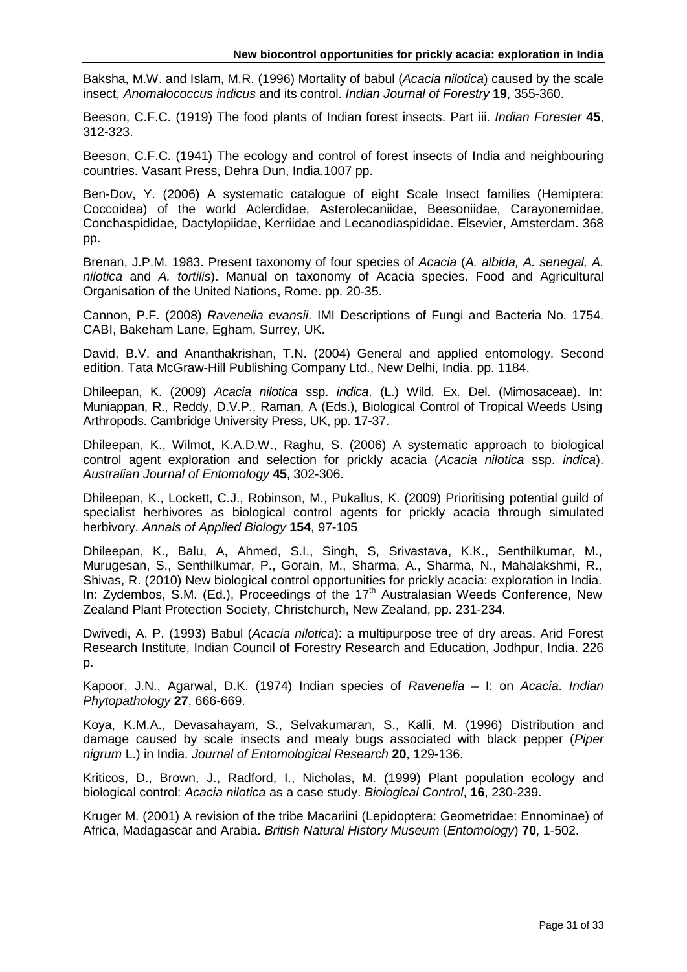Baksha, M.W. and Islam, M.R. (1996) Mortality of babul (*Acacia nilotica*) caused by the scale insect, *Anomalococcus indicus* and its control. *Indian Journal of Forestry* **19**, 355-360.

Beeson, C.F.C. (1919) The food plants of Indian forest insects. Part iii. *Indian Forester* **45**, 312-323.

Beeson, C.F.C. (1941) The ecology and control of forest insects of India and neighbouring countries. Vasant Press, Dehra Dun, India.1007 pp.

Ben-Dov, Y. (2006) A systematic catalogue of eight Scale Insect families (Hemiptera: Coccoidea) of the world Aclerdidae, Asterolecaniidae, Beesoniidae, Carayonemidae, Conchaspididae, Dactylopiidae, Kerriidae and Lecanodiaspididae. Elsevier, Amsterdam. 368 pp.

Brenan, J.P.M. 1983. Present taxonomy of four species of *Acacia* (*A. albida, A. senegal, A. nilotica* and *A. tortilis*). Manual on taxonomy of Acacia species. Food and Agricultural Organisation of the United Nations, Rome. pp. 20-35.

Cannon, P.F. (2008) *Ravenelia evansii*. IMI Descriptions of Fungi and Bacteria No. 1754. CABI, Bakeham Lane, Egham, Surrey, UK.

David, B.V. and Ananthakrishan, T.N. (2004) General and applied entomology. Second edition. Tata McGraw-Hill Publishing Company Ltd., New Delhi, India. pp. 1184.

Dhileepan, K. (2009) *Acacia nilotica* ssp. *indica*. (L.) Wild. Ex. Del. (Mimosaceae). In: Muniappan, R., Reddy, D.V.P., Raman, A (Eds.), Biological Control of Tropical Weeds Using Arthropods. Cambridge University Press, UK, pp. 17-37.

Dhileepan, K., Wilmot, K.A.D.W., Raghu, S. (2006) A systematic approach to biological control agent exploration and selection for prickly acacia (*Acacia nilotica* ssp. *indica*). *Australian Journal of Entomology* **45**, 302-306.

Dhileepan, K., Lockett, C.J., Robinson, M., Pukallus, K. (2009) Prioritising potential guild of specialist herbivores as biological control agents for prickly acacia through simulated herbivory. *Annals of Applied Biology* **154**, 97-105

Dhileepan, K., Balu, A, Ahmed, S.I., Singh, S, Srivastava, K.K., Senthilkumar, M., Murugesan, S., Senthilkumar, P., Gorain, M., Sharma, A., Sharma, N., Mahalakshmi, R., Shivas, R. (2010) New biological control opportunities for prickly acacia: exploration in India. In: Zydembos, S.M. (Ed.), Proceedings of the  $17<sup>th</sup>$  Australasian Weeds Conference, New Zealand Plant Protection Society, Christchurch, New Zealand, pp. 231-234.

Dwivedi, A. P. (1993) Babul (*Acacia nilotica*): a multipurpose tree of dry areas. Arid Forest Research Institute, Indian Council of Forestry Research and Education, Jodhpur, India. 226 p.

Kapoor, J.N., Agarwal, D.K. (1974) Indian species of *Ravenelia* – I: on *Acacia*. *Indian Phytopathology* **27**, 666-669.

Koya, K.M.A., Devasahayam, S., Selvakumaran, S., Kalli, M. (1996) Distribution and damage caused by scale insects and mealy bugs associated with black pepper (*Piper nigrum* L.) in India. *Journal of Entomological Research* **20**, 129-136.

Kriticos, D., Brown, J., Radford, I., Nicholas, M. (1999) Plant population ecology and biological control: *Acacia nilotica* as a case study. *Biological Control*, **16**, 230-239.

Kruger M. (2001) A revision of the tribe Macariini (Lepidoptera: Geometridae: Ennominae) of Africa, Madagascar and Arabia. *British Natural History Museum* (*Entomology*) **70**, 1-502.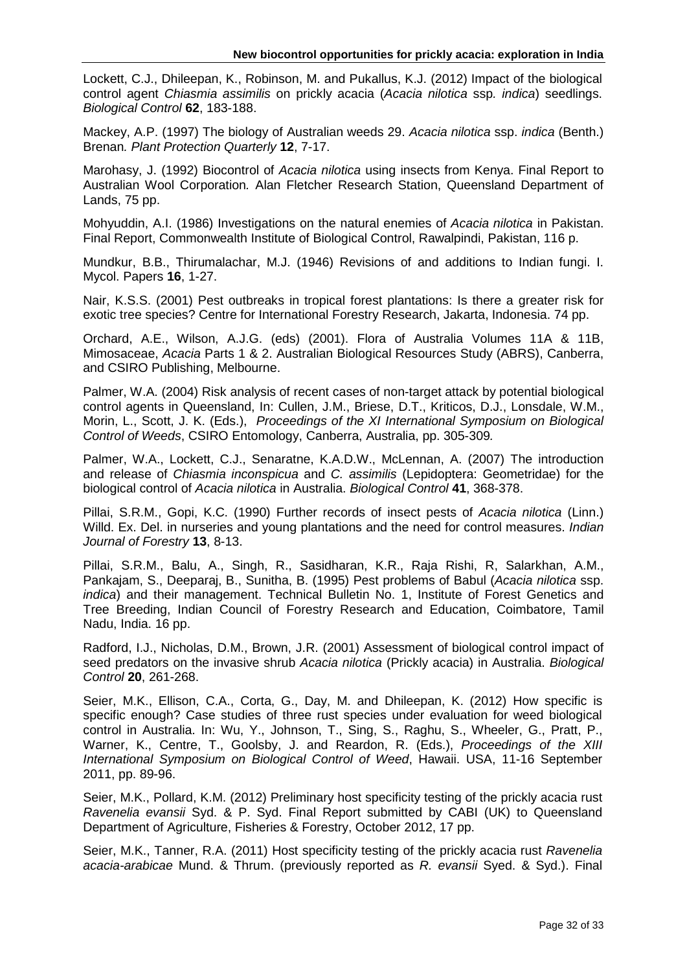Lockett, C.J., Dhileepan, K., Robinson, M. and Pukallus, K.J. (2012) Impact of the biological control agent *Chiasmia assimilis* on prickly acacia (*Acacia nilotica* ssp*. indica*) seedlings. *Biological Control* **62**, 183-188.

Mackey, A.P. (1997) The biology of Australian weeds 29. *Acacia nilotica* ssp. *indica* (Benth.) Brenan*. Plant Protection Quarterly* **12**, 7-17.

Marohasy, J. (1992) Biocontrol of *Acacia nilotica* using insects from Kenya. Final Report to Australian Wool Corporation*.* Alan Fletcher Research Station, Queensland Department of Lands, 75 pp.

Mohyuddin, A.I. (1986) Investigations on the natural enemies of *Acacia nilotica* in Pakistan. Final Report, Commonwealth Institute of Biological Control, Rawalpindi, Pakistan, 116 p.

Mundkur, B.B., Thirumalachar, M.J. (1946) Revisions of and additions to Indian fungi. I. Mycol. Papers **16**, 1-27.

Nair, K.S.S. (2001) Pest outbreaks in tropical forest plantations: Is there a greater risk for exotic tree species? Centre for International Forestry Research, Jakarta, Indonesia. 74 pp.

Orchard, A.E., Wilson, A.J.G. (eds) (2001). Flora of Australia Volumes 11A & 11B, Mimosaceae, *Acacia* Parts 1 & 2. Australian Biological Resources Study (ABRS), Canberra, and CSIRO Publishing, Melbourne.

Palmer, W.A. (2004) Risk analysis of recent cases of non-target attack by potential biological control agents in Queensland, In: Cullen, J.M., Briese, D.T., Kriticos, D.J., Lonsdale, W.M., Morin, L., Scott, J. K. (Eds.), *Proceedings of the XI International Symposium on Biological Control of Weeds*, CSIRO Entomology, Canberra, Australia, pp. 305-309*.*

Palmer, W.A., Lockett, C.J., Senaratne, K.A.D.W., McLennan, A. (2007) The introduction and release of *Chiasmia inconspicua* and *C. assimilis* (Lepidoptera: Geometridae) for the biological control of *Acacia nilotica* in Australia. *Biological Control* **41**, 368-378.

Pillai, S.R.M., Gopi, K.C. (1990) Further records of insect pests of *Acacia nilotica* (Linn.) Willd. Ex. Del. in nurseries and young plantations and the need for control measures. *Indian Journal of Forestry* **13**, 8-13.

Pillai, S.R.M., Balu, A., Singh, R., Sasidharan, K.R., Raja Rishi, R, Salarkhan, A.M., Pankajam, S., Deeparaj, B., Sunitha, B. (1995) Pest problems of Babul (*Acacia nilotica* ssp. *indica*) and their management. Technical Bulletin No. 1, Institute of Forest Genetics and Tree Breeding, Indian Council of Forestry Research and Education, Coimbatore, Tamil Nadu, India. 16 pp.

Radford, I.J., Nicholas, D.M., Brown, J.R. (2001) Assessment of biological control impact of seed predators on the invasive shrub *Acacia nilotica* (Prickly acacia) in Australia. *Biological Control* **20**, 261-268.

Seier, M.K., Ellison, C.A., Corta, G., Day, M. and Dhileepan, K. (2012) How specific is specific enough? Case studies of three rust species under evaluation for weed biological control in Australia. In: Wu, Y., Johnson, T., Sing, S., Raghu, S., Wheeler, G., Pratt, P., Warner, K., Centre, T., Goolsby, J. and Reardon, R. (Eds.), *Proceedings of the XIII International Symposium on Biological Control of Weed*, Hawaii. USA, 11-16 September 2011, pp. 89-96.

Seier, M.K., Pollard, K.M. (2012) Preliminary host specificity testing of the prickly acacia rust *Ravenelia evansii* Syd. & P. Syd. Final Report submitted by CABI (UK) to Queensland Department of Agriculture, Fisheries & Forestry, October 2012, 17 pp.

Seier, M.K., Tanner, R.A. (2011) Host specificity testing of the prickly acacia rust *Ravenelia acacia-arabicae* Mund. & Thrum. (previously reported as *R. evansii* Syed. & Syd.). Final